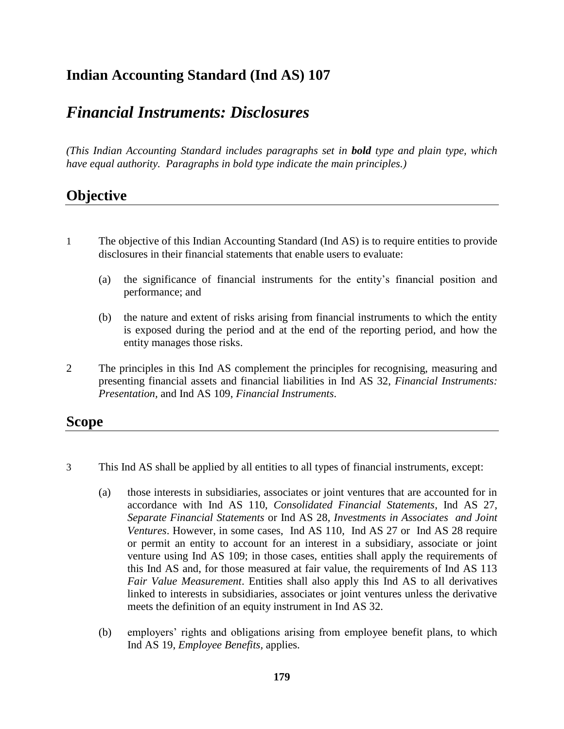# **Indian Accounting Standard (Ind AS) 107**

# *Financial Instruments: Disclosures*

*(This Indian Accounting Standard includes paragraphs set in bold type and plain type, which have equal authority. Paragraphs in bold type indicate the main principles.)*

# **Objective**

- 1 The objective of this Indian Accounting Standard (Ind AS) is to require entities to provide disclosures in their financial statements that enable users to evaluate:
	- (a) the significance of financial instruments for the entity's financial position and performance; and
	- (b) the nature and extent of risks arising from financial instruments to which the entity is exposed during the period and at the end of the reporting period, and how the entity manages those risks.
- 2 The principles in this Ind AS complement the principles for recognising, measuring and presenting financial assets and [financial liabilities](http://eifrs.iasb.org/eifrs/stdcontent/2009_Bound_Volume/IAS32c_2005-08-18_en-3.html#SL147195) in Ind AS 32, *Financial Instruments: Presentation,* and Ind AS 109, *Financial Instruments*.

# **Scope**

- 3 This Ind AS shall be applied by all entities to all types of financial instruments, except:
	- (a) those interests in subsidiaries, associates or joint ventures that are accounted for in accordance with Ind AS 110, *Consolidated Financial Statements*, Ind AS 27, *Separate Financial Statements* or Ind AS 28, *Investments in Associates and Joint Ventures*. However, in some cases, Ind AS 110, Ind AS 27 or Ind AS 28 require or permit an entity to account for an interest in a subsidiary, associate or joint venture using Ind AS 109; in those cases, entities shall apply the requirements of this Ind AS and, for those measured at fair value, the requirements of Ind AS 113 *Fair Value Measurement*. Entities shall also apply this Ind AS to all derivatives linked to interests in subsidiaries, associates or joint ventures unless the derivative meets the definition of an equity instrument in Ind AS 32.
	- (b) employers' rights and obligations arising from employee benefit plans, to which Ind AS 19, *Employee Benefits,* applies.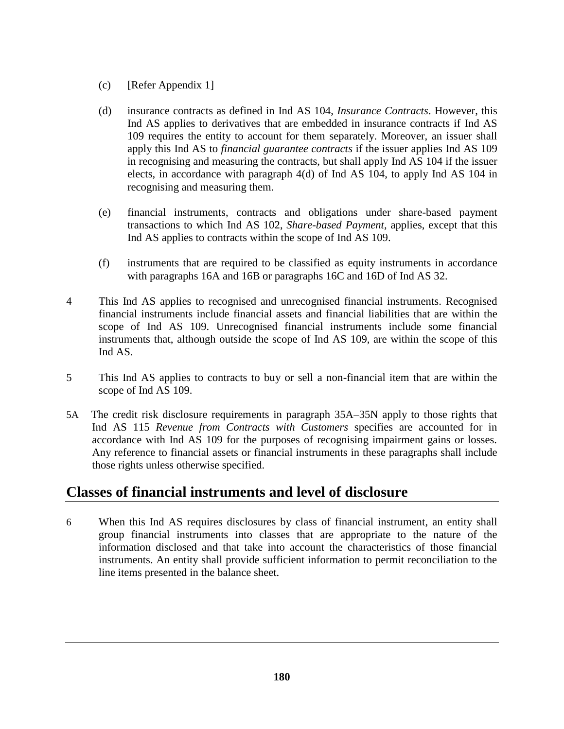- (c) [Refer Appendix 1]
- (d) insurance contracts as defined in Ind AS 104, *Insurance Contracts*. However, this Ind AS applies to derivatives that are embedded in insurance contracts if Ind AS 109 requires the entity to account for them separately. Moreover, an issuer shall apply this Ind AS to *financial guarantee contracts* if the issuer applies Ind AS 109 in recognising and measuring the contracts, but shall apply Ind AS 104 if the issuer elects, in accordance with paragraph 4(d) of Ind AS 104, to apply Ind AS 104 in recognising and measuring them.
- (e) financial instruments, contracts and obligations under share-based payment transactions to which Ind AS 102, *Share-based Payment,* applies, except that this Ind AS applies to contracts within the scope of Ind AS 109.
- (f) instruments that are required to be classified as equity instruments in accordance with paragraphs 16A and 16B or paragraphs 16C and 16D of Ind AS 32.
- 4 This Ind AS applies to recognised and unrecognised financial instruments. Recognised financial instruments include financial assets and financial liabilities that are within the scope of Ind AS 109. Unrecognised financial instruments include some financial instruments that, although outside the scope of Ind AS 109, are within the scope of this Ind AS.
- 5 This Ind AS applies to contracts to buy or sell a non-financial item that are within the scope of Ind AS 109.
- 5A The credit risk disclosure requirements in paragraph 35A–35N apply to those rights that Ind AS 115 *Revenue from Contracts with Customers* specifies are accounted for in accordance with Ind AS 109 for the purposes of recognising impairment gains or losses. Any reference to financial assets or financial instruments in these paragraphs shall include those rights unless otherwise specified.

# **Classes of financial instruments and level of disclosure**

6 When this Ind AS requires disclosures by class of financial instrument, an entity shall group financial instruments into classes that are appropriate to the nature of the information disclosed and that take into account the characteristics of those financial instruments. An entity shall provide sufficient information to permit reconciliation to the line items presented in the balance sheet.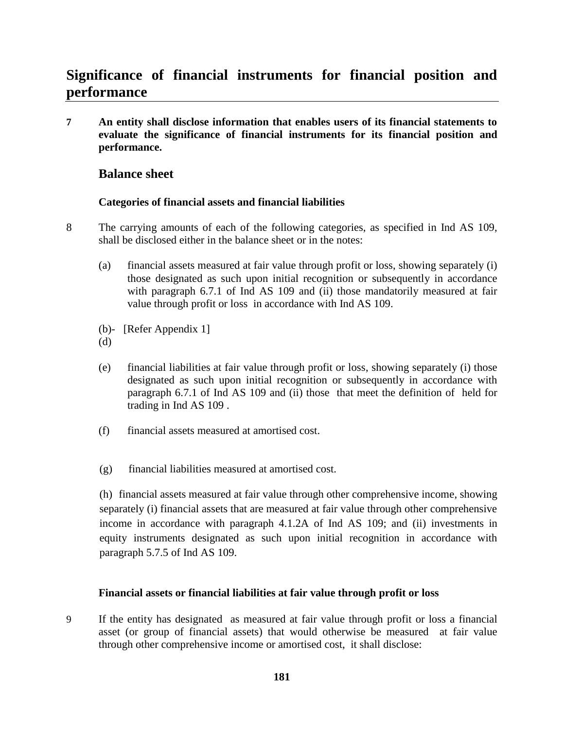# **Significance of financial instruments for financial position and performance**

**7 An entity shall disclose information that enables users of its financial statements to evaluate the significance of financial instruments for its financial position and performance.**

### **Balance sheet**

### **Categories of financial assets and financial liabilities**

- 8 The carrying amounts of each of the following categories, as specified in Ind AS 109, shall be disclosed either in the balance sheet or in the notes:
	- (a) financial assets measured at fair value through profit or loss, showing separately (i) those designated as such upon initial recognition or subsequently in accordance with paragraph 6.7.1 of Ind AS 109 and (ii) those mandatorily measured at fair value through profit or loss in accordance with Ind AS 109.
	- (b)- [Refer Appendix 1]
	- (d)
	- (e) financial liabilities at fair value through profit or loss, showing separately (i) those designated as such upon initial recognition or subsequently in accordance with paragraph 6.7.1 of Ind AS 109 and (ii) those that meet the definition of held for trading in Ind AS 109 .
	- (f) financial assets measured at amortised cost.
	- (g) financial liabilities measured at amortised cost.

(h) financial assets measured at fair value through other comprehensive income, showing separately (i) financial assets that are measured at fair value through other comprehensive income in accordance with paragraph 4.1.2A of Ind AS 109; and (ii) investments in equity instruments designated as such upon initial recognition in accordance with paragraph 5.7.5 of Ind AS 109.

### **Financial assets or financial liabilities at fair value through profit or loss**

9 If the entity has designated as measured at fair value through profit or loss a financial asset (or group of financial assets) that would otherwise be measured at fair value through other comprehensive income or amortised cost, it shall disclose: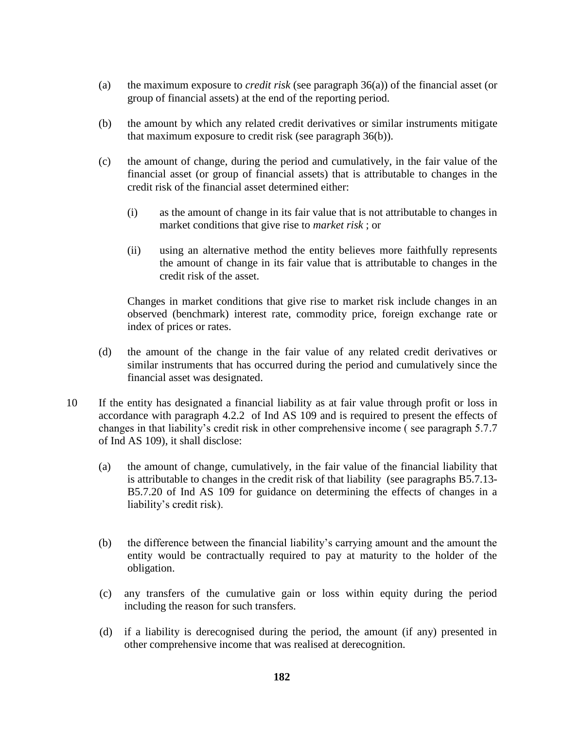- (a) the maximum exposure to *[credit risk](http://eifrs.iasb.org/eifrs/stdcontent/2009_Bound_Volume/IFRS07c_2005-08-18_en-4.html#SL144807)* (see paragraph 36(a)) of the financial asset (or group of financial assets) at the end of the reporting period.
- (b) the amount by which any related credit derivatives or similar instruments mitigate that maximum exposure to credit risk (see paragraph 36(b)).
- (c) the amount of change, during the period and cumulatively, in the fair value of the financial asset (or group of financial assets) that is attributable to changes in the credit risk of the financial asset determined either:
	- (i) as the amount of change in its fair value that is not attributable to changes in market conditions that give rise to *market risk* ; or
	- (ii) using an alternative method the entity believes more faithfully represents the amount of change in its fair value that is attributable to changes in the credit risk of the asset.

Changes in market conditions that give rise to market risk include changes in an observed (benchmark) interest rate, commodity price, foreign exchange rate or index of prices or rates.

- (d) the amount of the change in the fair value of any related credit derivatives or similar instruments that has occurred during the period and cumulatively since the financial asset was designated.
- 10 If the entity has designated a financial liability as at fair value through profit or loss in accordance with paragraph 4.2.2 of Ind AS 109 and is required to present the effects of changes in that liability's credit risk in other comprehensive income ( see paragraph 5.7.7 of Ind AS 109), it shall disclose:
	- (a) the amount of change, cumulatively, in the fair value of the financial liability that is attributable to changes in the credit risk of that liability (see paragraphs B5.7.13- B5.7.20 of Ind AS 109 for guidance on determining the effects of changes in a liability's credit risk).
	- (b) the difference between the financial liability's carrying amount and the amount the entity would be contractually required to pay at maturity to the holder of the obligation.
	- (c) any transfers of the cumulative gain or loss within equity during the period including the reason for such transfers.
	- (d) if a liability is derecognised during the period, the amount (if any) presented in other comprehensive income that was realised at derecognition.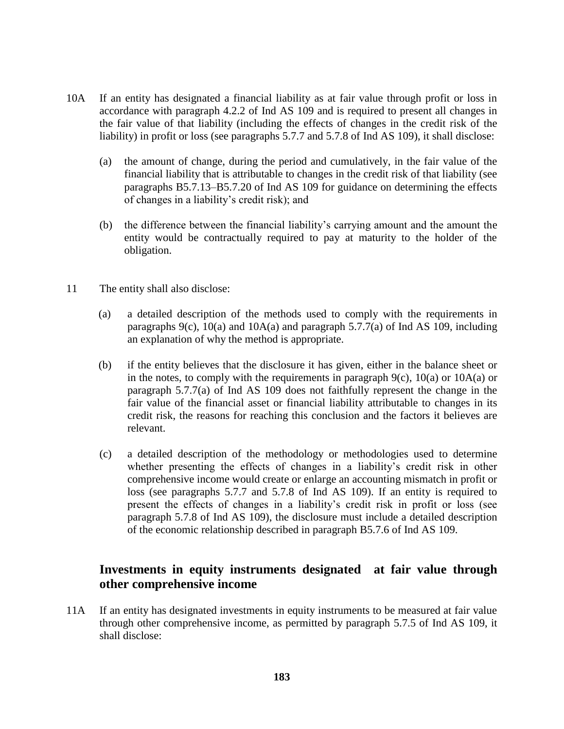- 10A If an entity has designated a financial liability as at fair value through profit or loss in accordance with paragraph 4.2.2 of Ind AS 109 and is required to present all changes in the fair value of that liability (including the effects of changes in the credit risk of the liability) in profit or loss (see paragraphs 5.7.7 and 5.7.8 of Ind AS 109), it shall disclose:
	- (a) the amount of change, during the period and cumulatively, in the fair value of the financial liability that is attributable to changes in the credit risk of that liability (see paragraphs B5.7.13–B5.7.20 of Ind AS 109 for guidance on determining the effects of changes in a liability's credit risk); and
	- (b) the difference between the financial liability's carrying amount and the amount the entity would be contractually required to pay at maturity to the holder of the obligation.
- 11 The entity shall also disclose:
	- (a) a detailed description of the methods used to comply with the requirements in paragraphs 9(c), 10(a) and 10A(a) and paragraph 5.7.7(a) of Ind AS 109, including an explanation of why the method is appropriate.
	- (b) if the entity believes that the disclosure it has given, either in the balance sheet or in the notes, to comply with the requirements in paragraph  $9(c)$ ,  $10(a)$  or  $10A(a)$  or paragraph 5.7.7(a) of Ind AS 109 does not faithfully represent the change in the [fair value](http://eifrs.iasb.org/eifrs/stdcontent/2009_Bound_Volume/IAS39a_2005-08-18_en-3.html#SL134652) of the [financial asset o](http://eifrs.iasb.org/eifrs/stdcontent/2009_Bound_Volume/IAS32c_2005-08-18_en-3.html#SL147175)r financial liability attributable to changes in its credit risk, the reasons for reaching this conclusion and the factors it believes are relevant.
	- (c) a detailed description of the methodology or methodologies used to determine whether presenting the effects of changes in a liability's credit risk in other comprehensive income would create or enlarge an accounting mismatch in profit or loss (see paragraphs 5.7.7 and 5.7.8 of Ind AS 109). If an entity is required to present the effects of changes in a liability's credit risk in profit or loss (see paragraph 5.7.8 of Ind AS 109), the disclosure must include a detailed description of the economic relationship described in paragraph B5.7.6 of Ind AS 109.

### **Investments in equity instruments designated at fair value through other comprehensive income**

11A If an entity has designated investments in equity instruments to be measured at fair value through other comprehensive income, as permitted by paragraph 5.7.5 of Ind AS 109, it shall disclose: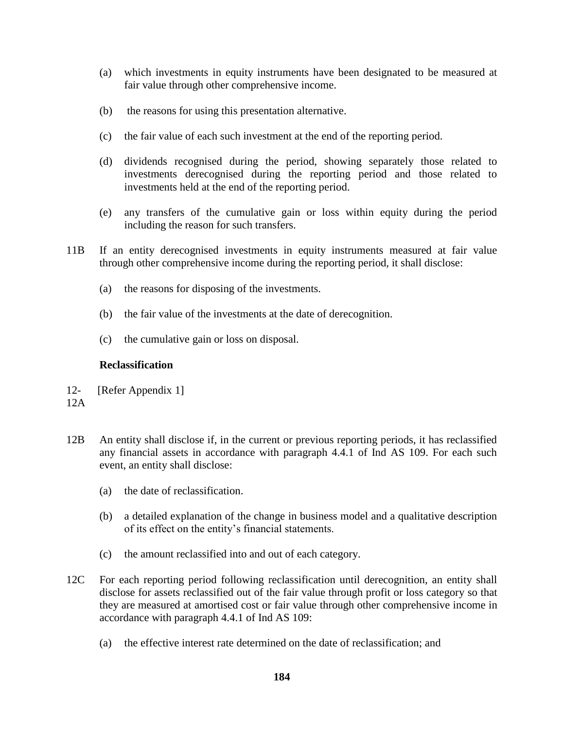- (a) which investments in equity instruments have been designated to be measured at fair value through other comprehensive income.
- (b) the reasons for using this presentation alternative.
- (c) the fair value of each such investment at the end of the reporting period.
- (d) dividends recognised during the period, showing separately those related to investments derecognised during the reporting period and those related to investments held at the end of the reporting period.
- (e) any transfers of the cumulative gain or loss within equity during the period including the reason for such transfers.
- 11B If an entity derecognised investments in equity instruments measured at fair value through other comprehensive income during the reporting period, it shall disclose:
	- (a) the reasons for disposing of the investments.
	- (b) the fair value of the investments at the date of derecognition.
	- (c) the cumulative gain or loss on disposal.

#### **Reclassification**

12- [Refer Appendix 1]

12A

- 12B An entity shall disclose if, in the current or previous reporting periods, it has reclassified any financial assets in accordance with paragraph 4.4.1 of Ind AS 109. For each such event, an entity shall disclose:
	- (a) the date of reclassification.
	- (b) a detailed explanation of the change in business model and a qualitative description of its effect on the entity's financial statements.
	- (c) the amount reclassified into and out of each category.
- 12C For each reporting period following reclassification until derecognition, an entity shall disclose for assets reclassified out of the fair value through profit or loss category so that they are measured at amortised cost or fair value through other comprehensive income in accordance with paragraph 4.4.1 of Ind AS 109:
	- (a) the effective interest rate determined on the date of reclassification; and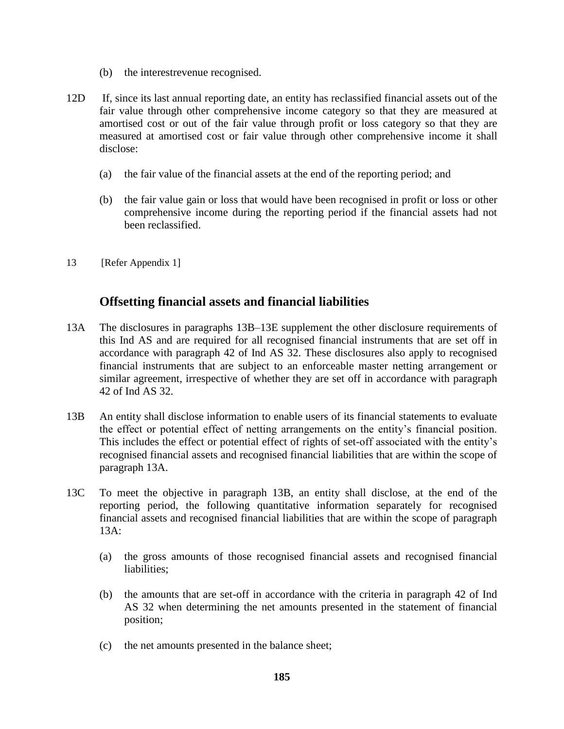- (b) the interestrevenue recognised.
- 12D If, since its last annual reporting date, an entity has reclassified financial assets out of the fair value through other comprehensive income category so that they are measured at amortised cost or out of the fair value through profit or loss category so that they are measured at amortised cost or fair value through other comprehensive income it shall disclose:
	- (a) the fair value of the financial assets at the end of the reporting period; and
	- (b) the fair value gain or loss that would have been recognised in profit or loss or other comprehensive income during the reporting period if the financial assets had not been reclassified.
- 13 [Refer Appendix 1]

### **Offsetting financial assets and financial liabilities**

- 13A The disclosures in paragraphs 13B–13E supplement the other disclosure requirements of this Ind AS and are required for all recognised financial instruments that are set off in accordance with paragraph 42 of Ind AS 32. These disclosures also apply to recognised financial instruments that are subject to an enforceable master netting arrangement or similar agreement, irrespective of whether they are set off in accordance with paragraph 42 of Ind AS 32.
- 13B An entity shall disclose information to enable users of its financial statements to evaluate the effect or potential effect of netting arrangements on the entity's financial position. This includes the effect or potential effect of rights of set-off associated with the entity's recognised financial assets and recognised financial liabilities that are within the scope of paragraph 13A.
- 13C To meet the objective in paragraph 13B, an entity shall disclose, at the end of the reporting period, the following quantitative information separately for recognised financial assets and recognised financial liabilities that are within the scope of paragraph 13A:
	- (a) the gross amounts of those recognised financial assets and recognised financial liabilities;
	- (b) the amounts that are set-off in accordance with the criteria in paragraph 42 of Ind AS 32 when determining the net amounts presented in the statement of financial position;
	- (c) the net amounts presented in the balance sheet;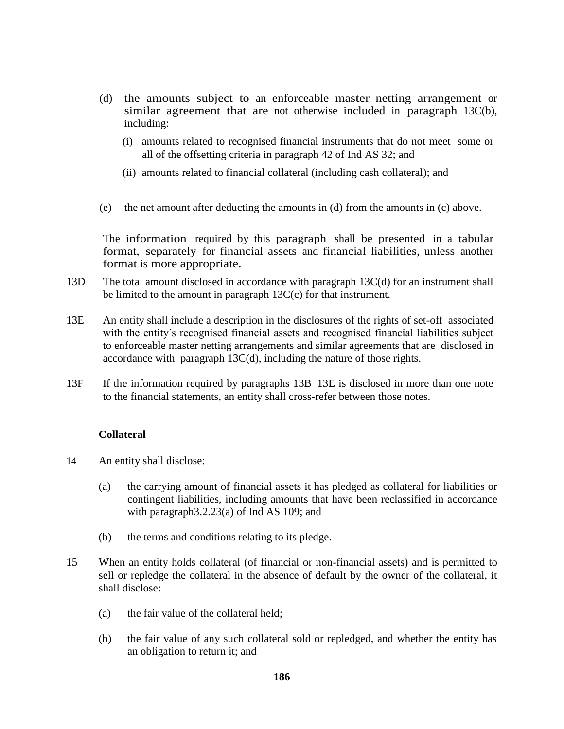- (d) the amounts subject to an enforceable master netting arrangement or similar agreement that are not otherwise included in paragraph 13C(b), including:
	- (i) amounts related to recognised financial instruments that do not meet some or all of the offsetting criteria in paragraph 42 of Ind AS 32; and
	- (ii) amounts related to financial collateral (including cash collateral); and
- (e) the net amount after deducting the amounts in (d) from the amounts in (c) above.

The information required by this paragraph shall be presented in a tabular format, separately for financial assets and financial liabilities, unless another format is more appropriate.

- 13D The total amount disclosed in accordance with paragraph 13C(d) for an instrument shall be limited to the amount in paragraph 13C(c) for that instrument.
- 13E An entity shall include a description in the disclosures of the rights of set-off associated with the entity's recognised financial assets and recognised financial liabilities subject to enforceable master netting arrangements and similar agreements that are disclosed in accordance with paragraph 13C(d), including the nature of those rights.
- 13F If the information required by paragraphs 13B–13E is disclosed in more than one note to the financial statements, an entity shall cross-refer between those notes.

#### **Collateral**

- 14 An entity shall disclose:
	- (a) the carrying amount of financial assets it has pledged as collateral for liabilities or contingent liabilities, including amounts that have been reclassified in accordance with paragraph 3.2.23(a) of Ind AS 109; and
	- (b) the terms and conditions relating to its pledge.
- 15 When an entity holds collateral (of financial or non-financial assets) and is permitted to sell or repledge the collateral in the absence of default by the owner of the collateral, it shall disclose:
	- (a) the fair value of the collateral held;
	- (b) the fair value of any such collateral sold or repledged, and whether the entity has an obligation to return it; and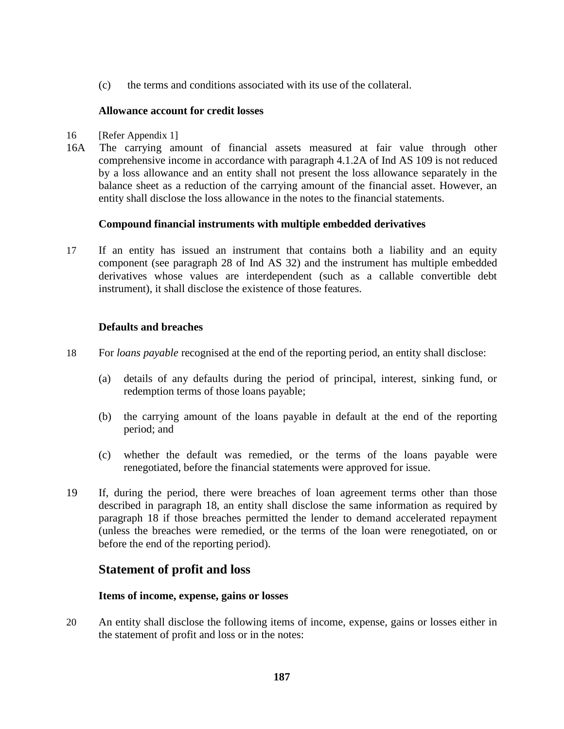(c) the terms and conditions associated with its use of the collateral.

#### **Allowance account for credit losses**

- 16 [Refer Appendix 1]
- 16A The carrying amount of financial assets measured at fair value through other comprehensive income in accordance with paragraph 4.1.2A of Ind AS 109 is not reduced by a loss allowance and an entity shall not present the loss allowance separately in the balance sheet as a reduction of the carrying amount of the financial asset. However, an entity shall disclose the loss allowance in the notes to the financial statements.

### **Compound financial instruments with multiple embedded derivatives**

17 If an entity has issued an instrument that contains both a liability and an equity component (see paragraph 28 of Ind AS 32) and the instrument has multiple embedded derivatives whose values are interdependent (such as a callable convertible debt instrument), it shall disclose the existence of those features.

### **Defaults and breaches**

- 18 For *loans payable* recognised at the end of the reporting period, an entity shall disclose:
	- (a) details of any defaults during the period of principal, interest, sinking fund, or redemption terms of those loans payable;
	- (b) the carrying amount of the loans payable in default at the end of the reporting period; and
	- (c) whether the default was remedied, or the terms of the loans payable were renegotiated, before the financial statements were approved for issue.
- 19 If, during the period, there were breaches of loan agreement terms other than those described in paragraph 18, an entity shall disclose the same information as required by paragraph 18 if those breaches permitted the lender to demand accelerated repayment (unless the breaches were remedied, or the terms of the loan were renegotiated, on or before the end of the reporting period).

### **Statement of profit and loss**

#### **Items of income, expense, gains or losses**

20 An entity shall disclose the following items of income, expense, gains or losses either in the statement of profit and loss or in the notes: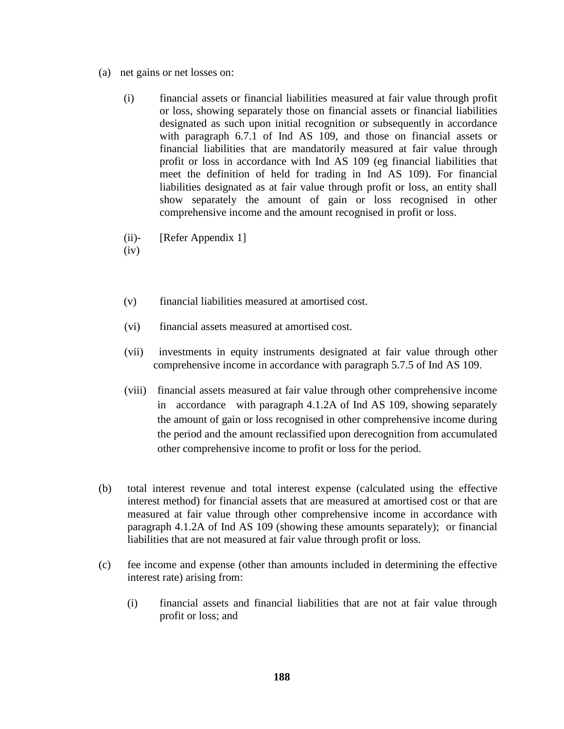- (a) net gains or net losses on:
	- (i) financial assets or financial liabilities measured at fair value through profit or loss, showing separately those on financial assets or financial liabilities designated as such upon initial recognition or subsequently in accordance with paragraph 6.7.1 of Ind AS 109, and those on financial assets or financial liabilities that are mandatorily measured at fair value through profit or loss in accordance with Ind AS 109 (eg financial liabilities that meet the definition of held for trading in Ind AS 109). For financial liabilities designated as at fair value through profit or loss, an entity shall show separately the amount of gain or loss recognised in other comprehensive income and the amount recognised in profit or loss.
	- (ii)- [Refer Appendix 1]
	- (iv)
	- (v) financial liabilities measured at amortised cost.
	- (vi) financial assets measured at amortised cost.
	- (vii) investments in equity instruments designated at fair value through other comprehensive income in accordance with paragraph 5.7.5 of Ind AS 109.
	- (viii) financial assets measured at fair value through other comprehensive income in accordance with paragraph 4.1.2A of Ind AS 109, showing separately the amount of gain or loss recognised in other comprehensive income during the period and the amount reclassified upon derecognition from accumulated other comprehensive income to profit or loss for the period.
- (b) total interest revenue and total interest expense (calculated using the effective interest method) for financial assets that are measured at amortised cost or that are measured at fair value through other comprehensive income in accordance with paragraph 4.1.2A of Ind AS 109 (showing these amounts separately); or financial liabilities that are not measured at fair value through profit or loss.
- (c) fee income and expense (other than amounts included in determining the effective interest rate) arising from:
	- (i) financial assets and financial liabilities that are not at fair value through profit or loss; and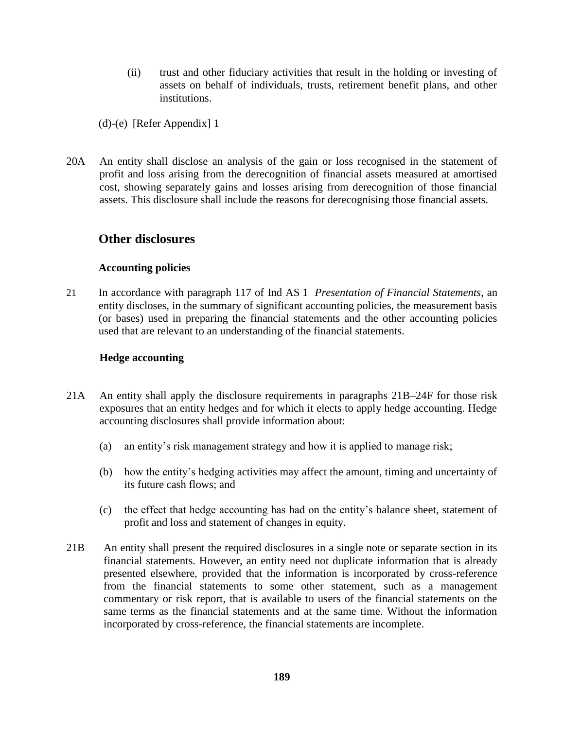- (ii) trust and other fiduciary activities that result in the holding or investing of assets on behalf of individuals, trusts, retirement benefit plans, and other institutions.
- (d)-(e) [Refer Appendix] 1
- 20A An entity shall disclose an analysis of the gain or loss recognised in the statement of profit and loss arising from the derecognition of financial assets measured at amortised cost, showing separately gains and losses arising from derecognition of those financial assets. This disclosure shall include the reasons for derecognising those financial assets.

### **Other disclosures**

### **Accounting policies**

21 In accordance with paragraph 117 of Ind AS 1 *Presentation of Financial Statements*, an entity discloses, in the summary of significant accounting policies, the measurement basis (or bases) used in preparing the financial statements and the other accounting policies used that are relevant to an understanding of the financial statements.

### **Hedge accounting**

- 21A An entity shall apply the disclosure requirements in paragraphs 21B–24F for those risk exposures that an entity hedges and for which it elects to apply hedge accounting. Hedge accounting disclosures shall provide information about:
	- (a) an entity's risk management strategy and how it is applied to manage risk;
	- (b) how the entity's hedging activities may affect the amount, timing and uncertainty of its future cash flows; and
	- (c) the effect that hedge accounting has had on the entity's balance sheet, statement of profit and loss and statement of changes in equity.
- 21B An entity shall present the required disclosures in a single note or separate section in its financial statements. However, an entity need not duplicate information that is already presented elsewhere, provided that the information is incorporated by cross-reference from the financial statements to some other statement, such as a management commentary or risk report, that is available to users of the financial statements on the same terms as the financial statements and at the same time. Without the information incorporated by cross-reference, the financial statements are incomplete.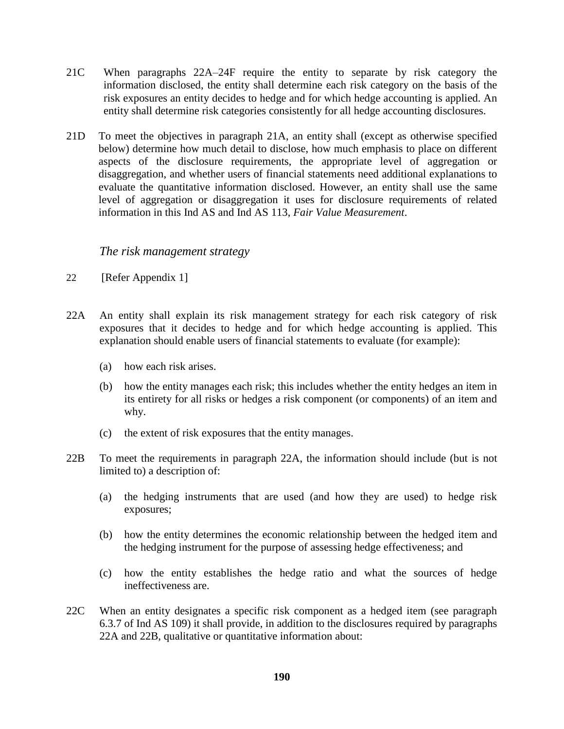- 21C When paragraphs 22A–24F require the entity to separate by risk category the information disclosed, the entity shall determine each risk category on the basis of the risk exposures an entity decides to hedge and for which hedge accounting is applied. An entity shall determine risk categories consistently for all hedge accounting disclosures.
- 21D To meet the objectives in paragraph 21A, an entity shall (except as otherwise specified below) determine how much detail to disclose, how much emphasis to place on different aspects of the disclosure requirements, the appropriate level of aggregation or disaggregation, and whether users of financial statements need additional explanations to evaluate the quantitative information disclosed. However, an entity shall use the same level of aggregation or disaggregation it uses for disclosure requirements of related information in this Ind AS and Ind AS 113, *Fair Value Measurement*.

### *The risk management strategy*

- 22 [Refer Appendix 1]
- 22A An entity shall explain its risk management strategy for each risk category of risk exposures that it decides to hedge and for which hedge accounting is applied. This explanation should enable users of financial statements to evaluate (for example):
	- (a) how each risk arises.
	- (b) how the entity manages each risk; this includes whether the entity hedges an item in its entirety for all risks or hedges a risk component (or components) of an item and why.
	- (c) the extent of risk exposures that the entity manages.
- 22B To meet the requirements in paragraph 22A, the information should include (but is not limited to) a description of:
	- (a) the hedging instruments that are used (and how they are used) to hedge risk exposures;
	- (b) how the entity determines the economic relationship between the hedged item and the hedging instrument for the purpose of assessing hedge effectiveness; and
	- (c) how the entity establishes the hedge ratio and what the sources of hedge ineffectiveness are.
- 22C When an entity designates a specific risk component as a hedged item (see paragraph 6.3.7 of Ind AS 109) it shall provide, in addition to the disclosures required by paragraphs 22A and 22B, qualitative or quantitative information about: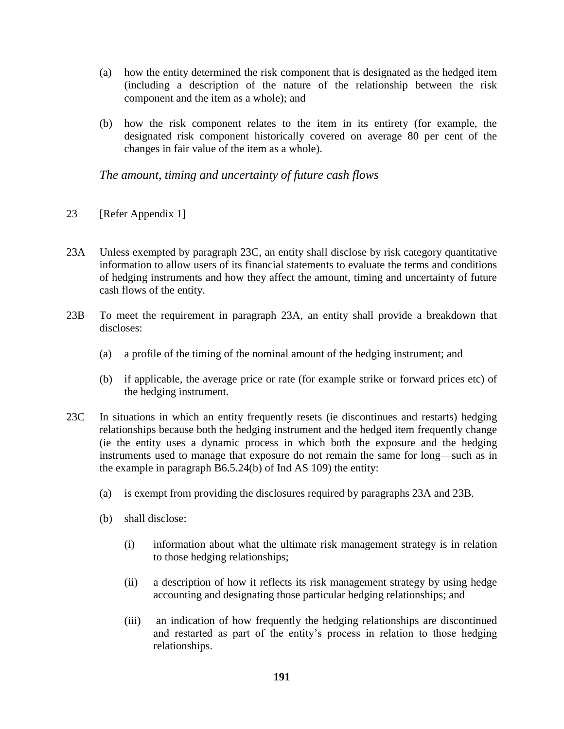- (a) how the entity determined the risk component that is designated as the hedged item (including a description of the nature of the relationship between the risk component and the item as a whole); and
- (b) how the risk component relates to the item in its entirety (for example, the designated risk component historically covered on average 80 per cent of the changes in fair value of the item as a whole).

*The amount, timing and uncertainty of future cash flows*

- 23 [Refer Appendix 1]
- 23A Unless exempted by paragraph 23C, an entity shall disclose by risk category quantitative information to allow users of its financial statements to evaluate the terms and conditions of hedging instruments and how they affect the amount, timing and uncertainty of future cash flows of the entity.
- 23B To meet the requirement in paragraph 23A, an entity shall provide a breakdown that discloses:
	- (a) a profile of the timing of the nominal amount of the hedging instrument; and
	- (b) if applicable, the average price or rate (for example strike or forward prices etc) of the hedging instrument.
- 23C In situations in which an entity frequently resets (ie discontinues and restarts) hedging relationships because both the hedging instrument and the hedged item frequently change (ie the entity uses a dynamic process in which both the exposure and the hedging instruments used to manage that exposure do not remain the same for long—such as in the example in paragraph B6.5.24(b) of Ind AS 109) the entity:
	- (a) is exempt from providing the disclosures required by paragraphs 23A and 23B.
	- (b) shall disclose:
		- (i) information about what the ultimate risk management strategy is in relation to those hedging relationships;
		- (ii) a description of how it reflects its risk management strategy by using hedge accounting and designating those particular hedging relationships; and
		- (iii) an indication of how frequently the hedging relationships are discontinued and restarted as part of the entity's process in relation to those hedging relationships.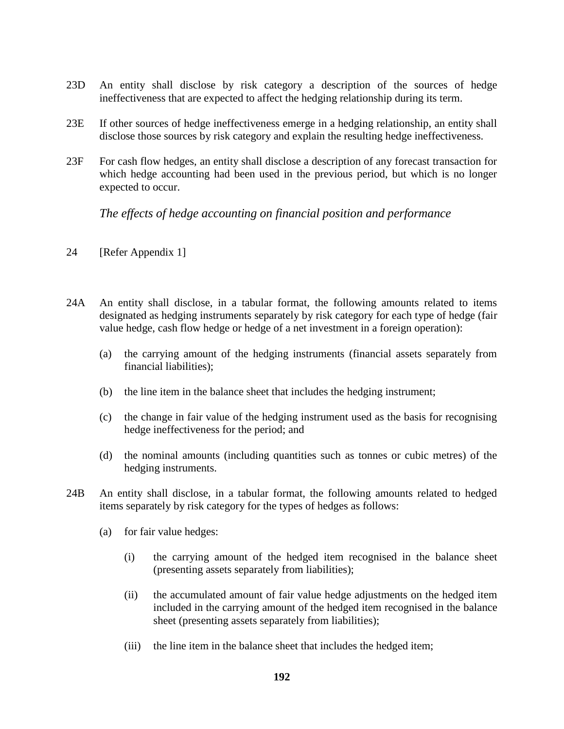- 23D An entity shall disclose by risk category a description of the sources of hedge ineffectiveness that are expected to affect the hedging relationship during its term.
- 23E If other sources of hedge ineffectiveness emerge in a hedging relationship, an entity shall disclose those sources by risk category and explain the resulting hedge ineffectiveness.
- 23F For cash flow hedges, an entity shall disclose a description of any forecast transaction for which hedge accounting had been used in the previous period, but which is no longer expected to occur.

*The effects of hedge accounting on financial position and performance*

- 24 [Refer Appendix 1]
- 24A An entity shall disclose, in a tabular format, the following amounts related to items designated as hedging instruments separately by risk category for each type of hedge (fair value hedge, cash flow hedge or hedge of a net investment in a foreign operation):
	- (a) the carrying amount of the hedging instruments (financial assets separately from financial liabilities);
	- (b) the line item in the balance sheet that includes the hedging instrument;
	- (c) the change in fair value of the hedging instrument used as the basis for recognising hedge ineffectiveness for the period; and
	- (d) the nominal amounts (including quantities such as tonnes or cubic metres) of the hedging instruments.
- 24B An entity shall disclose, in a tabular format, the following amounts related to hedged items separately by risk category for the types of hedges as follows:
	- (a) for fair value hedges:
		- (i) the carrying amount of the hedged item recognised in the balance sheet (presenting assets separately from liabilities);
		- (ii) the accumulated amount of fair value hedge adjustments on the hedged item included in the carrying amount of the hedged item recognised in the balance sheet (presenting assets separately from liabilities);
		- (iii) the line item in the balance sheet that includes the hedged item;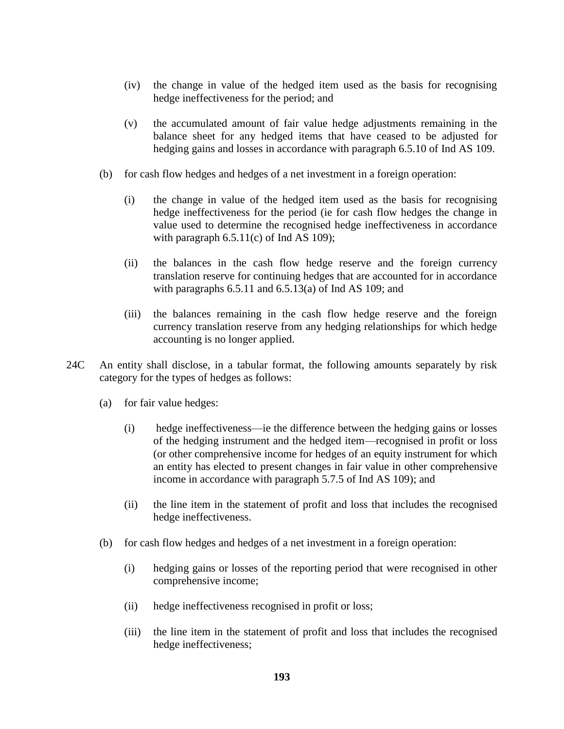- (iv) the change in value of the hedged item used as the basis for recognising hedge ineffectiveness for the period; and
- (v) the accumulated amount of fair value hedge adjustments remaining in the balance sheet for any hedged items that have ceased to be adjusted for hedging gains and losses in accordance with paragraph 6.5.10 of Ind AS 109.
- (b) for cash flow hedges and hedges of a net investment in a foreign operation:
	- (i) the change in value of the hedged item used as the basis for recognising hedge ineffectiveness for the period (ie for cash flow hedges the change in value used to determine the recognised hedge ineffectiveness in accordance with paragraph  $6.5.11(c)$  of Ind AS 109);
	- (ii) the balances in the cash flow hedge reserve and the foreign currency translation reserve for continuing hedges that are accounted for in accordance with paragraphs  $6.5.11$  and  $6.5.13(a)$  of Ind AS 109; and
	- (iii) the balances remaining in the cash flow hedge reserve and the foreign currency translation reserve from any hedging relationships for which hedge accounting is no longer applied.
- 24C An entity shall disclose, in a tabular format, the following amounts separately by risk category for the types of hedges as follows:
	- (a) for fair value hedges:
		- (i) hedge ineffectiveness—ie the difference between the hedging gains or losses of the hedging instrument and the hedged item—recognised in profit or loss (or other comprehensive income for hedges of an equity instrument for which an entity has elected to present changes in fair value in other comprehensive income in accordance with paragraph 5.7.5 of Ind AS 109); and
		- (ii) the line item in the statement of profit and loss that includes the recognised hedge ineffectiveness.
	- (b) for cash flow hedges and hedges of a net investment in a foreign operation:
		- (i) hedging gains or losses of the reporting period that were recognised in other comprehensive income;
		- (ii) hedge ineffectiveness recognised in profit or loss;
		- (iii) the line item in the statement of profit and loss that includes the recognised hedge ineffectiveness;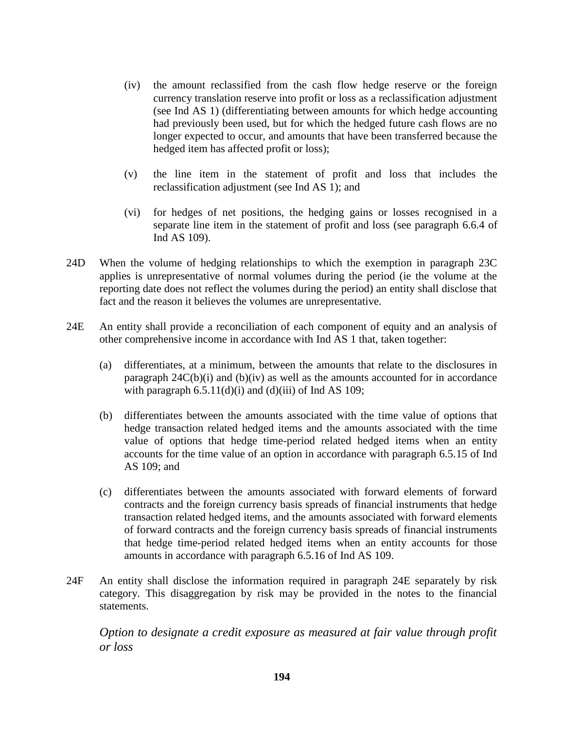- (iv) the amount reclassified from the cash flow hedge reserve or the foreign currency translation reserve into profit or loss as a reclassification adjustment (see Ind AS 1) (differentiating between amounts for which hedge accounting had previously been used, but for which the hedged future cash flows are no longer expected to occur, and amounts that have been transferred because the hedged item has affected profit or loss);
- (v) the line item in the statement of profit and loss that includes the reclassification adjustment (see Ind AS 1); and
- (vi) for hedges of net positions, the hedging gains or losses recognised in a separate line item in the statement of profit and loss (see paragraph 6.6.4 of Ind AS 109).
- 24D When the volume of hedging relationships to which the exemption in paragraph 23C applies is unrepresentative of normal volumes during the period (ie the volume at the reporting date does not reflect the volumes during the period) an entity shall disclose that fact and the reason it believes the volumes are unrepresentative.
- 24E An entity shall provide a reconciliation of each component of equity and an analysis of other comprehensive income in accordance with Ind AS 1 that, taken together:
	- (a) differentiates, at a minimum, between the amounts that relate to the disclosures in paragraph  $24C(b)(i)$  and  $(b)(iv)$  as well as the amounts accounted for in accordance with paragraph  $6.5.11(d)(i)$  and  $(d)(iii)$  of Ind AS 109;
	- (b) differentiates between the amounts associated with the time value of options that hedge transaction related hedged items and the amounts associated with the time value of options that hedge time-period related hedged items when an entity accounts for the time value of an option in accordance with paragraph 6.5.15 of Ind AS 109; and
	- (c) differentiates between the amounts associated with forward elements of forward contracts and the foreign currency basis spreads of financial instruments that hedge transaction related hedged items, and the amounts associated with forward elements of forward contracts and the foreign currency basis spreads of financial instruments that hedge time-period related hedged items when an entity accounts for those amounts in accordance with paragraph 6.5.16 of Ind AS 109.
- 24F An entity shall disclose the information required in paragraph 24E separately by risk category. This disaggregation by risk may be provided in the notes to the financial statements.

*Option to designate a credit exposure as measured at fair value through profit or loss*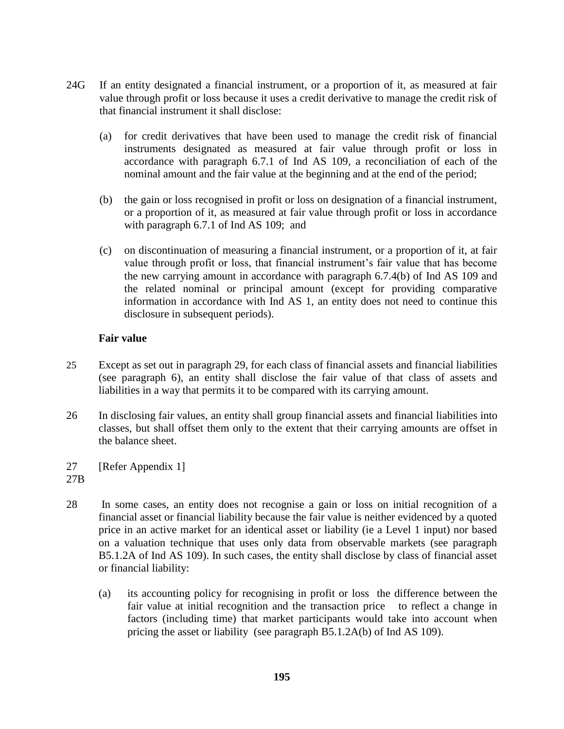- 24G If an entity designated a financial instrument, or a proportion of it, as measured at fair value through profit or loss because it uses a credit derivative to manage the credit risk of that financial instrument it shall disclose:
	- (a) for credit derivatives that have been used to manage the credit risk of financial instruments designated as measured at fair value through profit or loss in accordance with paragraph 6.7.1 of Ind AS 109, a reconciliation of each of the nominal amount and the fair value at the beginning and at the end of the period;
	- (b) the gain or loss recognised in profit or loss on designation of a financial instrument, or a proportion of it, as measured at fair value through profit or loss in accordance with paragraph 6.7.1 of Ind AS 109; and
	- (c) on discontinuation of measuring a financial instrument, or a proportion of it, at fair value through profit or loss, that financial instrument's fair value that has become the new carrying amount in accordance with paragraph 6.7.4(b) of Ind AS 109 and the related nominal or principal amount (except for providing comparative information in accordance with Ind AS 1, an entity does not need to continue this disclosure in subsequent periods).

### **Fair value**

- 25 Except as set out in paragraph 29, for each class of financial assets and financial liabilities (see paragraph 6), an entity shall disclose the fair value of that class of assets and liabilities in a way that permits it to be compared with its carrying amount.
- 26 In disclosing [fair values,](http://eifrs.iasb.org/eifrs/stdcontent/2009_Bound_Volume/IAS39a_2005-08-18_en-3.html#SL134652) an entity shall group financial assets and financial liabilities into classes, but shall offset them only to the extent that their carrying amounts are offset in the balance sheet.
- 27 [Refer Appendix 1]
- 27B
- 28 In some cases, an entity does not recognise a gain or loss on initial recognition of a financial asset or financial liability because the fair value is neither evidenced by a quoted price in an active market for an identical asset or liability (ie a Level 1 input) nor based on a valuation technique that uses only data from observable markets (see paragraph B5.1.2A of Ind AS 109). In such cases, the entity shall disclose by class of financial asset or financial liability:
	- (a) its accounting policy for recognising in profit or loss the difference between the fair value at initial recognition and the transaction price to reflect a change in factors (including time) that market participants would take into account when pricing the asset or liability (see paragraph B5.1.2A(b) of Ind AS 109).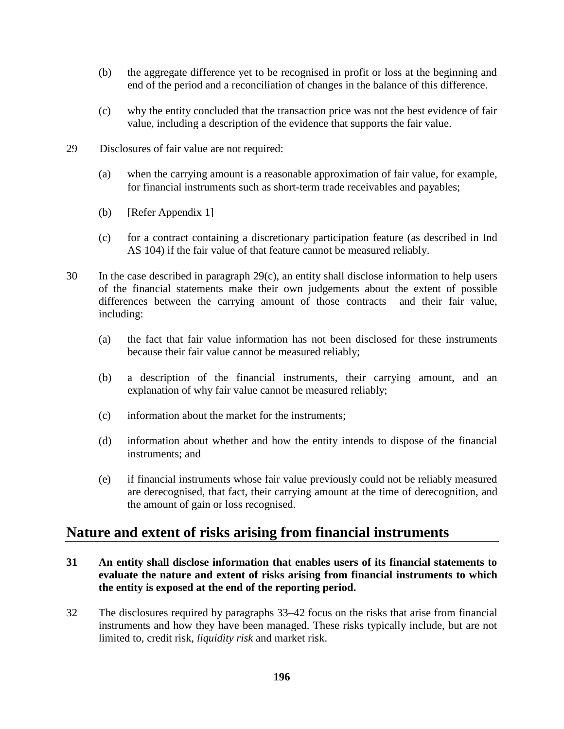- (b) the aggregate difference yet to be recognised in profit or loss at the beginning and end of the period and a reconciliation of changes in the balance of this difference.
- (c) why the entity concluded that the transaction price was not the best evidence of fair value, including a description of the evidence that supports the fair value.
- 29 Disclosures of fair value are not required:
	- (a) when the carrying amount is a reasonable approximation of fair value, for example, for [financial instruments](http://eifrs.iasb.org/eifrs/stdcontent/2009_Bound_Volume/IAS32c_2005-08-18_en-3.html#SL147174) such as short-term trade receivables and payables;
	- (b) [Refer Appendix 1]
	- (c) for a contract containing a discretionary participation feature (as described in Ind AS 104) if the fair value of that feature cannot be measured reliably.
- 30 In the case described in paragraph 29(c), an entity shall disclose information to help users of the financial statements make their own judgements about the extent of possible differences between the carrying amount of those contracts and their fair value, including:
	- (a) the fact that fair value information has not been disclosed for these instruments because their fair value cannot be measured reliably;
	- (b) a description of the financial instruments, their carrying amount, and an explanation of why fair value cannot be measured reliably;
	- (c) information about the market for the instruments;
	- (d) information about whether and how the entity intends to dispose of the financial instruments; and
	- (e) if financial instruments whose fair value previously could not be reliably measured are derecognised, that fact, their carrying amount at the time of derecognition, and the amount of gain or loss recognised.

# **Nature and extent of risks arising from financial instruments**

- **31 An entity shall disclose information that enables users of its financial statements to evaluate the nature and extent of risks arising from [financial instruments](http://eifrs.iasb.org/eifrs/stdcontent/2009_Bound_Volume/IAS32c_2005-08-18_en-3.html#SL147174) to which the entity is exposed at the end of the reporting period.**
- 32 The disclosures required by paragraphs 33–42 focus on the risks that arise from financial instruments and how they have been managed. These risks typically include, but are not limited to, credit risk, *[liquidity risk](http://eifrs.iasb.org/eifrs/stdcontent/2009_Bound_Volume/IFRS07c_2005-08-18_en-4.html#SL144816)* and market risk.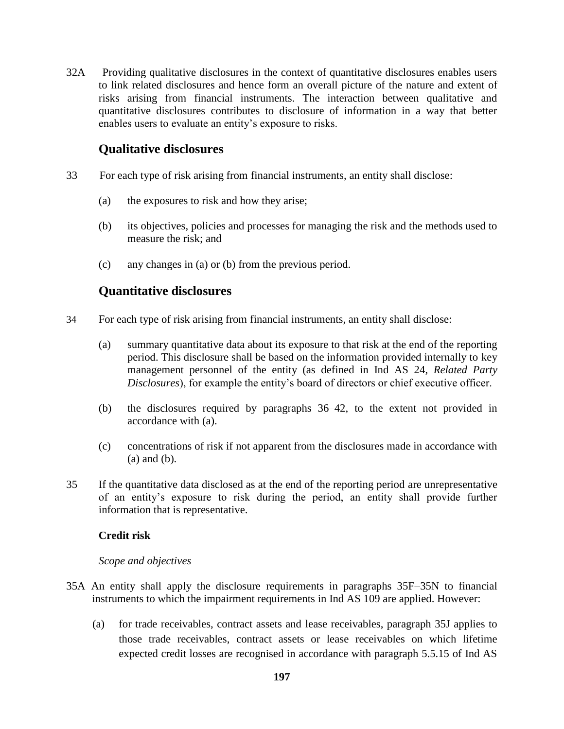32A Providing qualitative disclosures in the context of quantitative disclosures enables users to link related disclosures and hence form an overall picture of the nature and extent of risks arising from financial instruments. The interaction between qualitative and quantitative disclosures contributes to disclosure of information in a way that better enables users to evaluate an entity's exposure to risks.

### **Qualitative disclosures**

- 33 For each type of risk arising from financial instruments, an entity shall disclose:
	- (a) the exposures to risk and how they arise;
	- (b) its objectives, policies and processes for managing the risk and the methods used to measure the risk; and
	- (c) any changes in (a) or (b) from the previous period.

### **Quantitative disclosures**

- 34 For each type of risk arising from financial instruments, an entity shall disclose:
	- (a) summary quantitative data about its exposure to that risk at the end of the reporting period. This disclosure shall be based on the information provided internally to [key](http://eifrs.iasb.org/eifrs/stdcontent/2009_Bound_Volume/IAS24c_2004-12-16_en-3.html#SL146739)  [management personnel](http://eifrs.iasb.org/eifrs/stdcontent/2009_Bound_Volume/IAS24c_2004-12-16_en-3.html#SL146739) of the entity (as defined in Ind AS 24, *Related Party Disclosures*), for example the entity's board of directors or chief executive officer.
	- (b) the disclosures required by [paragraphs 36–42,](http://eifrs.iasb.org/eifrs/stdcontent/2009_Bound_Volume/IFRS07c_2005-08-18_en-3.html#F94980) to the extent not provided in accordance with (a).
	- (c) concentrations of risk if not apparent from the disclosures made in accordance with (a) and (b).
- 35 If the quantitative data disclosed as at the end of the reporting period are unrepresentative of an entity's exposure to risk during the period, an entity shall provide further information that is representative.

### **[Credit risk](http://eifrs.iasb.org/eifrs/stdcontent/2009_Bound_Volume/IFRS07c_2005-08-18_en-4.html#SL144807)**

#### *Scope and objectives*

- 35A An entity shall apply the disclosure requirements in paragraphs 35F–35N to financial instruments to which the impairment requirements in Ind AS 109 are applied. However:
	- (a) for trade receivables, contract assets and lease receivables, paragraph 35J applies to those trade receivables, contract assets or lease receivables on which lifetime expected credit losses are recognised in accordance with paragraph 5.5.15 of Ind AS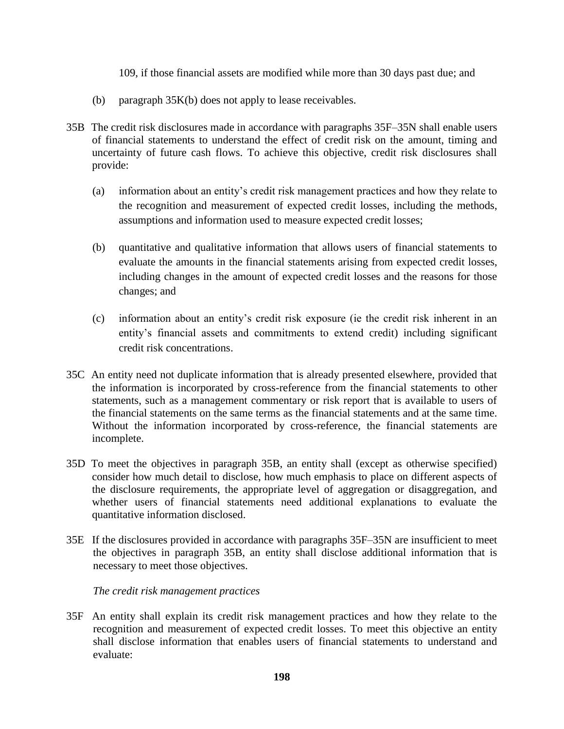- 109, if those financial assets are modified while more than 30 days past due; and
- (b) paragraph 35K(b) does not apply to lease receivables.
- 35B The credit risk disclosures made in accordance with paragraphs 35F–35N shall enable users of financial statements to understand the effect of credit risk on the amount, timing and uncertainty of future cash flows. To achieve this objective, credit risk disclosures shall provide:
	- (a) information about an entity's credit risk management practices and how they relate to the recognition and measurement of expected credit losses, including the methods, assumptions and information used to measure expected credit losses;
	- (b) quantitative and qualitative information that allows users of financial statements to evaluate the amounts in the financial statements arising from expected credit losses, including changes in the amount of expected credit losses and the reasons for those changes; and
	- (c) information about an entity's credit risk exposure (ie the credit risk inherent in an entity's financial assets and commitments to extend credit) including significant credit risk concentrations.
- 35C An entity need not duplicate information that is already presented elsewhere, provided that the information is incorporated by cross-reference from the financial statements to other statements, such as a management commentary or risk report that is available to users of the financial statements on the same terms as the financial statements and at the same time. Without the information incorporated by cross-reference, the financial statements are incomplete.
- 35D To meet the objectives in paragraph 35B, an entity shall (except as otherwise specified) consider how much detail to disclose, how much emphasis to place on different aspects of the disclosure requirements, the appropriate level of aggregation or disaggregation, and whether users of financial statements need additional explanations to evaluate the quantitative information disclosed.
- 35E If the disclosures provided in accordance with paragraphs 35F–35N are insufficient to meet the objectives in paragraph 35B, an entity shall disclose additional information that is necessary to meet those objectives.

#### *The credit risk management practices*

35F An entity shall explain its credit risk management practices and how they relate to the recognition and measurement of expected credit losses. To meet this objective an entity shall disclose information that enables users of financial statements to understand and evaluate: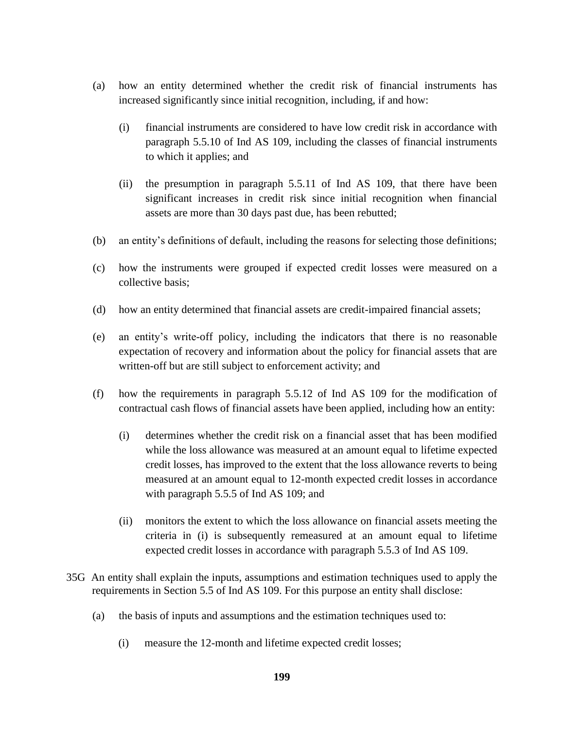- (a) how an entity determined whether the credit risk of financial instruments has increased significantly since initial recognition, including, if and how:
	- (i) financial instruments are considered to have low credit risk in accordance with paragraph 5.5.10 of Ind AS 109, including the classes of financial instruments to which it applies; and
	- (ii) the presumption in paragraph 5.5.11 of Ind AS 109, that there have been significant increases in credit risk since initial recognition when financial assets are more than 30 days past due, has been rebutted;
- (b) an entity's definitions of default, including the reasons for selecting those definitions;
- (c) how the instruments were grouped if expected credit losses were measured on a collective basis;
- (d) how an entity determined that financial assets are credit-impaired financial assets;
- (e) an entity's write-off policy, including the indicators that there is no reasonable expectation of recovery and information about the policy for financial assets that are written-off but are still subject to enforcement activity; and
- (f) how the requirements in paragraph 5.5.12 of Ind AS 109 for the modification of contractual cash flows of financial assets have been applied, including how an entity:
	- (i) determines whether the credit risk on a financial asset that has been modified while the loss allowance was measured at an amount equal to lifetime expected credit losses, has improved to the extent that the loss allowance reverts to being measured at an amount equal to 12-month expected credit losses in accordance with paragraph 5.5.5 of Ind AS 109; and
	- (ii) monitors the extent to which the loss allowance on financial assets meeting the criteria in (i) is subsequently remeasured at an amount equal to lifetime expected credit losses in accordance with paragraph 5.5.3 of Ind AS 109.
- 35G An entity shall explain the inputs, assumptions and estimation techniques used to apply the requirements in Section 5.5 of Ind AS 109. For this purpose an entity shall disclose:
	- (a) the basis of inputs and assumptions and the estimation techniques used to:
		- (i) measure the 12-month and lifetime expected credit losses;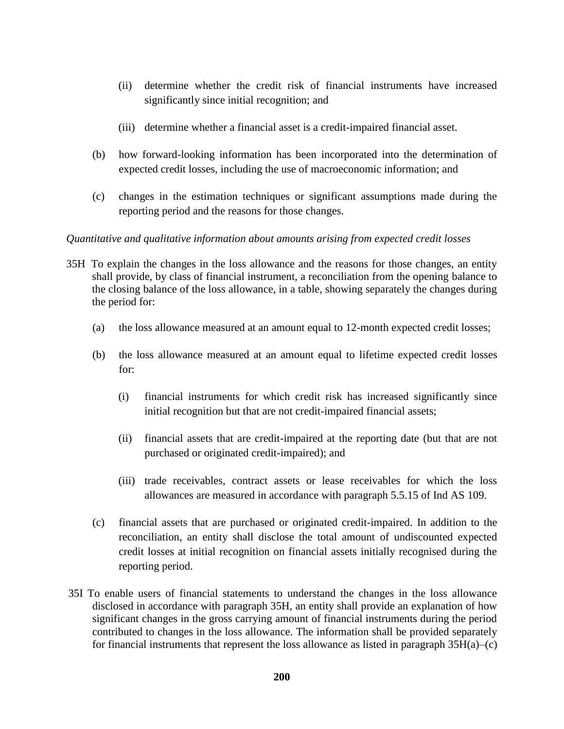- (ii) determine whether the credit risk of financial instruments have increased significantly since initial recognition; and
- (iii) determine whether a financial asset is a credit-impaired financial asset.
- (b) how forward-looking information has been incorporated into the determination of expected credit losses, including the use of macroeconomic information; and
- (c) changes in the estimation techniques or significant assumptions made during the reporting period and the reasons for those changes.

#### *Quantitative and qualitative information about amounts arising from expected credit losses*

- 35H To explain the changes in the loss allowance and the reasons for those changes, an entity shall provide, by class of financial instrument, a reconciliation from the opening balance to the closing balance of the loss allowance, in a table, showing separately the changes during the period for:
	- (a) the loss allowance measured at an amount equal to 12-month expected credit losses;
	- (b) the loss allowance measured at an amount equal to lifetime expected credit losses for:
		- (i) financial instruments for which credit risk has increased significantly since initial recognition but that are not credit-impaired financial assets;
		- (ii) financial assets that are credit-impaired at the reporting date (but that are not purchased or originated credit-impaired); and
		- (iii) trade receivables, contract assets or lease receivables for which the loss allowances are measured in accordance with paragraph 5.5.15 of Ind AS 109.
	- (c) financial assets that are purchased or originated credit-impaired. In addition to the reconciliation, an entity shall disclose the total amount of undiscounted expected credit losses at initial recognition on financial assets initially recognised during the reporting period.
- 35I To enable users of financial statements to understand the changes in the loss allowance disclosed in accordance with paragraph 35H, an entity shall provide an explanation of how significant changes in the gross carrying amount of financial instruments during the period contributed to changes in the loss allowance. The information shall be provided separately for financial instruments that represent the loss allowance as listed in paragraph  $35H(a)$ –(c)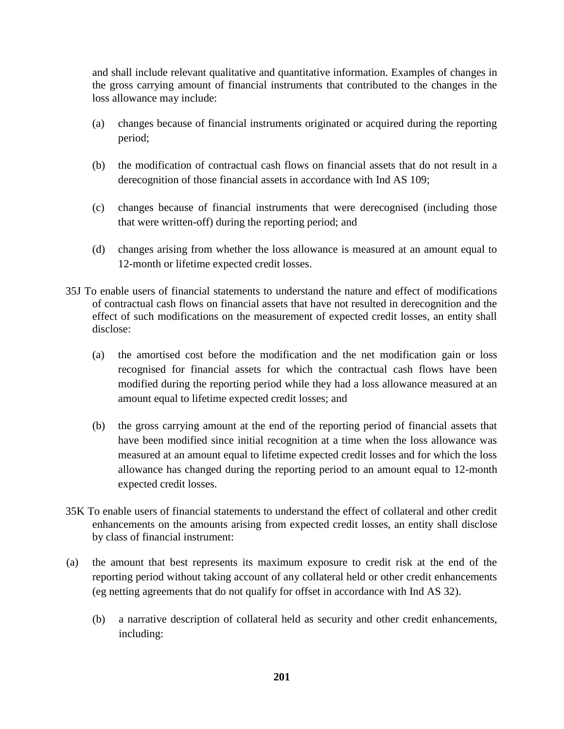and shall include relevant qualitative and quantitative information. Examples of changes in the gross carrying amount of financial instruments that contributed to the changes in the loss allowance may include:

- (a) changes because of financial instruments originated or acquired during the reporting period;
- (b) the modification of contractual cash flows on financial assets that do not result in a derecognition of those financial assets in accordance with Ind AS 109;
- (c) changes because of financial instruments that were derecognised (including those that were written-off) during the reporting period; and
- (d) changes arising from whether the loss allowance is measured at an amount equal to 12-month or lifetime expected credit losses.
- 35J To enable users of financial statements to understand the nature and effect of modifications of contractual cash flows on financial assets that have not resulted in derecognition and the effect of such modifications on the measurement of expected credit losses, an entity shall disclose:
	- (a) the amortised cost before the modification and the net modification gain or loss recognised for financial assets for which the contractual cash flows have been modified during the reporting period while they had a loss allowance measured at an amount equal to lifetime expected credit losses; and
	- (b) the gross carrying amount at the end of the reporting period of financial assets that have been modified since initial recognition at a time when the loss allowance was measured at an amount equal to lifetime expected credit losses and for which the loss allowance has changed during the reporting period to an amount equal to 12-month expected credit losses.
- 35K To enable users of financial statements to understand the effect of collateral and other credit enhancements on the amounts arising from expected credit losses, an entity shall disclose by class of financial instrument:
- (a) the amount that best represents its maximum exposure to credit risk at the end of the reporting period without taking account of any collateral held or other credit enhancements (eg netting agreements that do not qualify for offset in accordance with Ind AS 32).
	- (b) a narrative description of collateral held as security and other credit enhancements, including: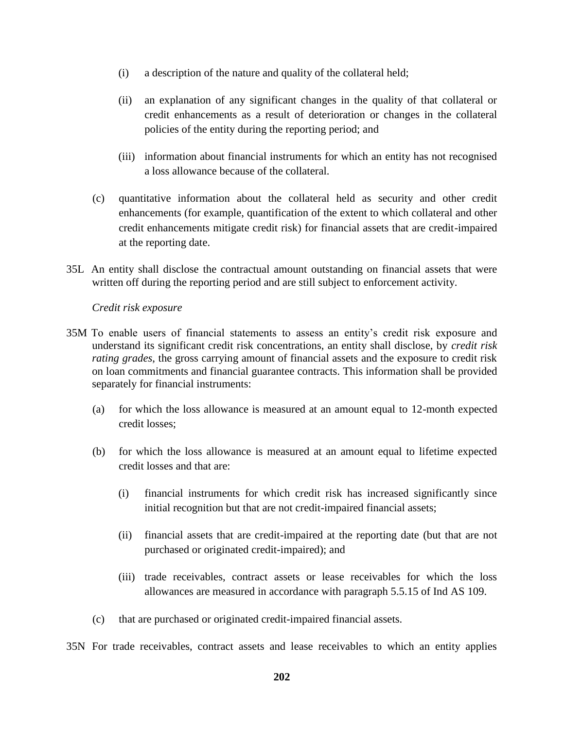- (i) a description of the nature and quality of the collateral held;
- (ii) an explanation of any significant changes in the quality of that collateral or credit enhancements as a result of deterioration or changes in the collateral policies of the entity during the reporting period; and
- (iii) information about financial instruments for which an entity has not recognised a loss allowance because of the collateral.
- (c) quantitative information about the collateral held as security and other credit enhancements (for example, quantification of the extent to which collateral and other credit enhancements mitigate credit risk) for financial assets that are credit-impaired at the reporting date.
- 35L An entity shall disclose the contractual amount outstanding on financial assets that were written off during the reporting period and are still subject to enforcement activity.

#### *Credit risk exposure*

- 35M To enable users of financial statements to assess an entity's credit risk exposure and understand its significant credit risk concentrations, an entity shall disclose, by *credit risk rating grades*, the gross carrying amount of financial assets and the exposure to credit risk on loan commitments and financial guarantee contracts. This information shall be provided separately for financial instruments:
	- (a) for which the loss allowance is measured at an amount equal to 12-month expected credit losses;
	- (b) for which the loss allowance is measured at an amount equal to lifetime expected credit losses and that are:
		- (i) financial instruments for which credit risk has increased significantly since initial recognition but that are not credit-impaired financial assets;
		- (ii) financial assets that are credit-impaired at the reporting date (but that are not purchased or originated credit-impaired); and
		- (iii) trade receivables, contract assets or lease receivables for which the loss allowances are measured in accordance with paragraph 5.5.15 of Ind AS 109.
	- (c) that are purchased or originated credit-impaired financial assets.

35N For trade receivables, contract assets and lease receivables to which an entity applies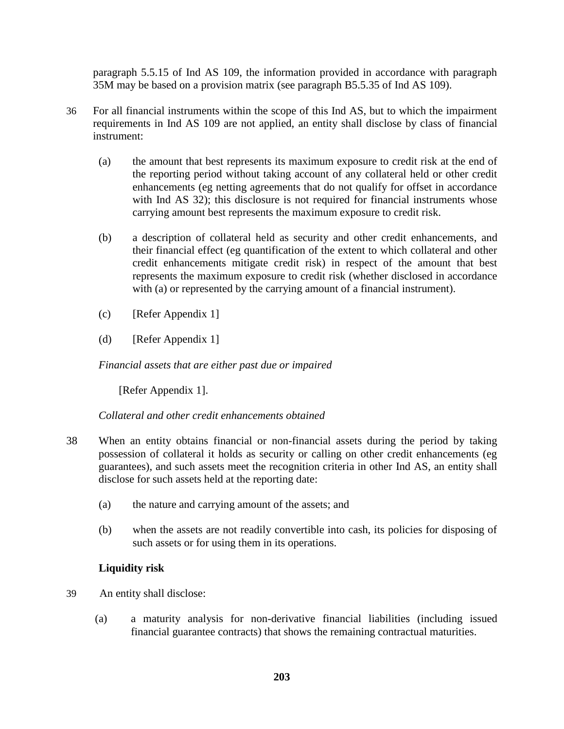paragraph 5.5.15 of Ind AS 109, the information provided in accordance with paragraph 35M may be based on a provision matrix (see paragraph B5.5.35 of Ind AS 109).

- 36 For all financial instruments within the scope of this Ind AS, but to which the impairment requirements in Ind AS 109 are not applied, an entity shall disclose by class of financial instrument:
	- (a) the amount that best represents its maximum exposure to [credit risk](http://eifrs.iasb.org/eifrs/stdcontent/2009_Bound_Volume/IFRS07c_2005-08-18_en-4.html#SL144807) at the end of the reporting period without taking account of any collateral held or other credit enhancements (eg netting agreements that do not qualify for offset in accordance with Ind AS 32); this disclosure is not required for financial instruments whose carrying amount best represents the maximum exposure to credit risk.
	- (b) a description of collateral held as security and other credit enhancements, and their financial effect (eg quantification of the extent to which collateral and other credit enhancements mitigate credit risk) in respect of the amount that best represents the maximum exposure to credit risk (whether disclosed in accordance with (a) or represented by the carrying amount of a financial instrument).
	- (c) [Refer Appendix 1]
	- (d) [Refer Appendix 1]

*Financial assets that are either past due or impaired*

[Refer Appendix 1].

*Collateral and other credit enhancements obtained*

- 38 When an entity obtains [financial](http://eifrs.iasb.org/eifrs/stdcontent/2009_Bound_Volume/IAS32c_2005-08-18_en-3.html#SL147175) or non-financial assets during the period by taking possession of collateral it holds as security or calling on other credit enhancements (eg guarantees), and such assets meet the recognition criteria in other Ind AS, an entity shall disclose for such assets held at the reporting date:
	- (a) the nature and carrying amount of the assets; and
	- (b) when the assets are not readily convertible into cash, its policies for disposing of such assets or for using them in its operations.

### **Liquidity risk**

- 39 An entity shall disclose:
	- (a) a maturity analysis for non-derivative financial liabilities (including issued financial guarantee contracts) that shows the remaining contractual maturities.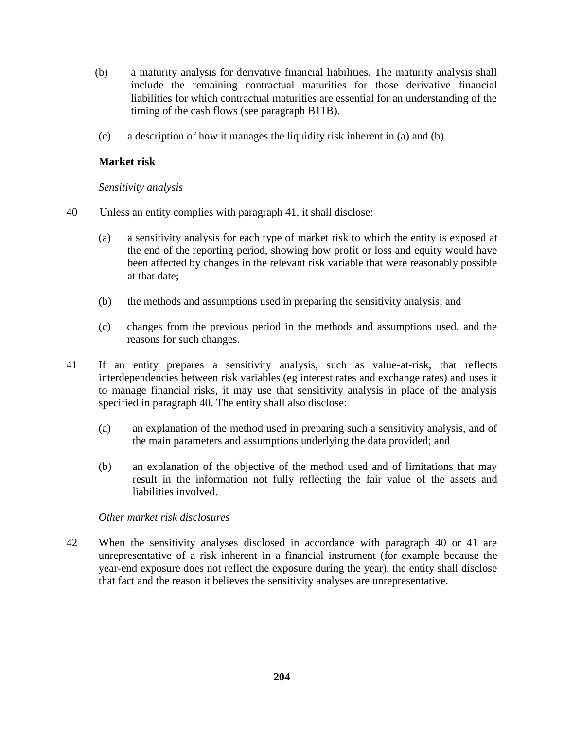- (b) a maturity analysis for derivative financial liabilities. The maturity analysis shall include the remaining contractual maturities for those derivative financial liabilities for which contractual maturities are essential for an understanding of the timing of the cash flows (see paragraph B11B).
- (c) a description of how it manages the liquidity risk inherent in (a) and (b).

### **Market risk**

*Sensitivity analysis*

- 40 Unless an entity complies with paragraph 41, it shall disclose:
	- (a) a sensitivity analysis for each type of [market risk](http://eifrs.iasb.org/eifrs/stdcontent/2009_Bound_Volume/IFRS07c_2005-08-18_en-4.html#SL144822) to which the entity is exposed at the end of the reporting period, showing how profit or loss and equity would have been affected by changes in the relevant risk variable that were reasonably possible at that date;
	- (b) the methods and assumptions used in preparing the sensitivity analysis; and
	- (c) changes from the previous period in the methods and assumptions used, and the reasons for such changes.
- 41 If an entity prepares a sensitivity analysis, such as value-at-risk, that reflects interdependencies between risk variables (eg interest rates and exchange rates) and uses it to manage financial risks, it may use that sensitivity analysis in place of the analysis specified in paragraph 40. The entity shall also disclose:
	- (a) an explanation of the method used in preparing such a sensitivity analysis, and of the main parameters and assumptions underlying the data provided; and
	- (b) an explanation of the objective of the method used and of limitations that may result in the information not fully reflecting the fair value of the assets and liabilities involved.

#### *Other market risk disclosures*

42 When the sensitivity analyses disclosed in accordance with paragraph 40 or 41 are unrepresentative of a risk inherent in a financial instrument (for example because the year-end exposure does not reflect the exposure during the year), the entity shall disclose that fact and the reason it believes the sensitivity analyses are unrepresentative.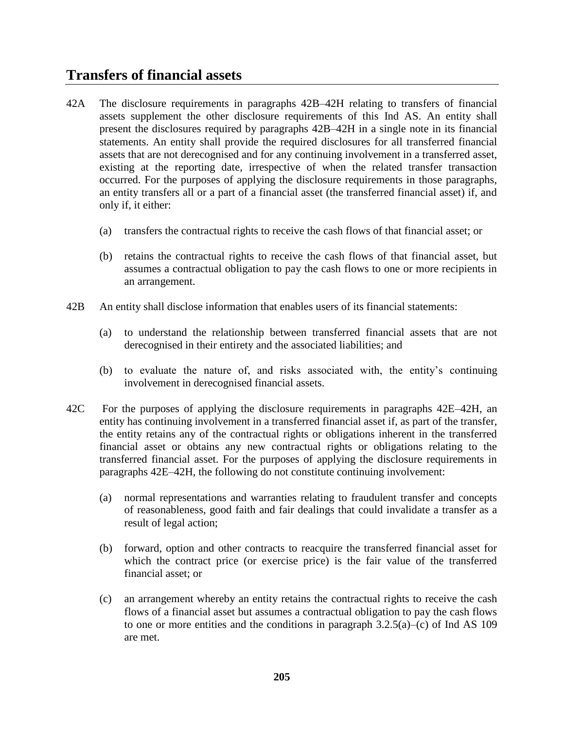# **Transfers of financial assets**

- 42A The disclosure requirements in paragraphs 42B–42H relating to transfers of financial assets supplement the other disclosure requirements of this Ind AS. An entity shall present the disclosures required by paragraphs 42B–42H in a single note in its financial statements. An entity shall provide the required disclosures for all transferred financial assets that are not derecognised and for any continuing involvement in a transferred asset, existing at the reporting date, irrespective of when the related transfer transaction occurred. For the purposes of applying the disclosure requirements in those paragraphs, an entity transfers all or a part of a financial asset (the transferred financial asset) if, and only if, it either:
	- (a) transfers the contractual rights to receive the cash flows of that financial asset; or
	- (b) retains the contractual rights to receive the cash flows of that financial asset, but assumes a contractual obligation to pay the cash flows to one or more recipients in an arrangement.
- 42B An entity shall disclose information that enables users of its financial statements:
	- (a) to understand the relationship between transferred financial assets that are not derecognised in their entirety and the associated liabilities; and
	- (b) to evaluate the nature of, and risks associated with, the entity's continuing involvement in derecognised financial assets.
- 42C For the purposes of applying the disclosure requirements in paragraphs 42E–42H, an entity has continuing involvement in a transferred financial asset if, as part of the transfer, the entity retains any of the contractual rights or obligations inherent in the transferred financial asset or obtains any new contractual rights or obligations relating to the transferred financial asset. For the purposes of applying the disclosure requirements in paragraphs 42E–42H, the following do not constitute continuing involvement:
	- (a) normal representations and warranties relating to fraudulent transfer and concepts of reasonableness, good faith and fair dealings that could invalidate a transfer as a result of legal action;
	- (b) forward, option and other contracts to reacquire the transferred financial asset for which the contract price (or exercise price) is the fair value of the transferred financial asset; or
	- (c) an arrangement whereby an entity retains the contractual rights to receive the cash flows of a financial asset but assumes a contractual obligation to pay the cash flows to one or more entities and the conditions in paragraph 3.2.5(a)–(c) of Ind AS 109 are met.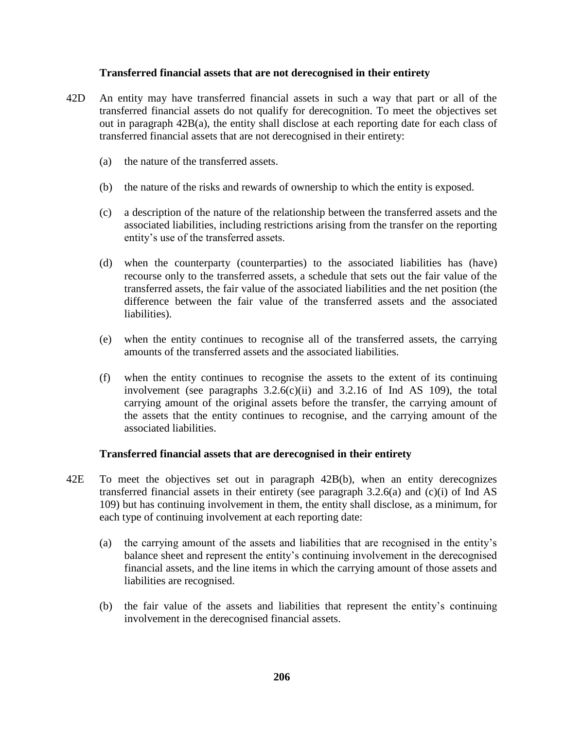#### **Transferred financial assets that are not derecognised in their entirety**

- 42D An entity may have transferred financial assets in such a way that part or all of the transferred financial assets do not qualify for derecognition. To meet the objectives set out in paragraph 42B(a), the entity shall disclose at each reporting date for each class of transferred financial assets that are not derecognised in their entirety:
	- (a) the nature of the transferred assets.
	- (b) the nature of the risks and rewards of ownership to which the entity is exposed.
	- (c) a description of the nature of the relationship between the transferred assets and the associated liabilities, including restrictions arising from the transfer on the reporting entity's use of the transferred assets.
	- (d) when the counterparty (counterparties) to the associated liabilities has (have) recourse only to the transferred assets, a schedule that sets out the fair value of the transferred assets, the fair value of the associated liabilities and the net position (the difference between the fair value of the transferred assets and the associated liabilities).
	- (e) when the entity continues to recognise all of the transferred assets, the carrying amounts of the transferred assets and the associated liabilities.
	- (f) when the entity continues to recognise the assets to the extent of its continuing involvement (see paragraphs  $3.2.6(c)(ii)$  and  $3.2.16$  of Ind AS 109), the total carrying amount of the original assets before the transfer, the carrying amount of the assets that the entity continues to recognise, and the carrying amount of the associated liabilities.

#### **Transferred financial assets that are derecognised in their entirety**

- 42E To meet the objectives set out in paragraph 42B(b), when an entity derecognizes transferred financial assets in their entirety (see paragraph 3.2.6(a) and (c)(i) of Ind AS 109) but has continuing involvement in them, the entity shall disclose, as a minimum, for each type of continuing involvement at each reporting date:
	- (a) the carrying amount of the assets and liabilities that are recognised in the entity's balance sheet and represent the entity's continuing involvement in the derecognised financial assets, and the line items in which the carrying amount of those assets and liabilities are recognised.
	- (b) the fair value of the assets and liabilities that represent the entity's continuing involvement in the derecognised financial assets.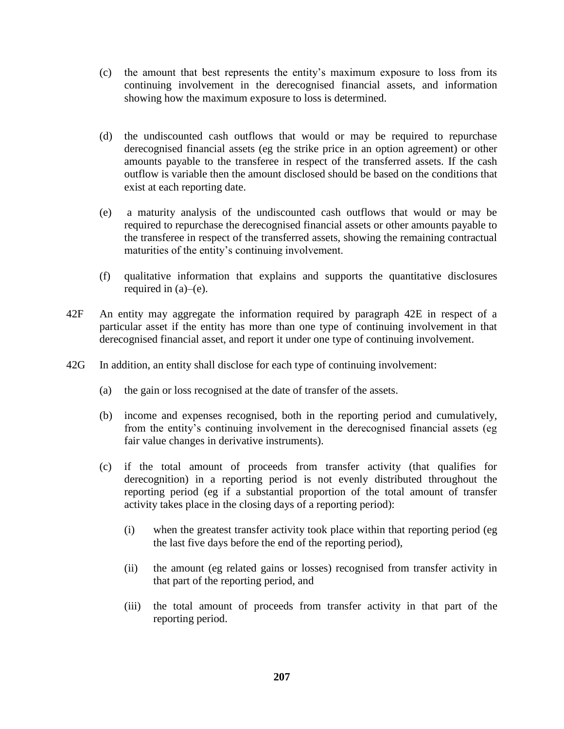- (c) the amount that best represents the entity's maximum exposure to loss from its continuing involvement in the derecognised financial assets, and information showing how the maximum exposure to loss is determined.
- (d) the undiscounted cash outflows that would or may be required to repurchase derecognised financial assets (eg the strike price in an option agreement) or other amounts payable to the transferee in respect of the transferred assets. If the cash outflow is variable then the amount disclosed should be based on the conditions that exist at each reporting date.
- (e) a maturity analysis of the undiscounted cash outflows that would or may be required to repurchase the derecognised financial assets or other amounts payable to the transferee in respect of the transferred assets, showing the remaining contractual maturities of the entity's continuing involvement.
- (f) qualitative information that explains and supports the quantitative disclosures required in (a)–(e).
- 42F An entity may aggregate the information required by paragraph 42E in respect of a particular asset if the entity has more than one type of continuing involvement in that derecognised financial asset, and report it under one type of continuing involvement.
- 42G In addition, an entity shall disclose for each type of continuing involvement:
	- (a) the gain or loss recognised at the date of transfer of the assets.
	- (b) income and expenses recognised, both in the reporting period and cumulatively, from the entity's continuing involvement in the derecognised financial assets (eg fair value changes in derivative instruments).
	- (c) if the total amount of proceeds from transfer activity (that qualifies for derecognition) in a reporting period is not evenly distributed throughout the reporting period (eg if a substantial proportion of the total amount of transfer activity takes place in the closing days of a reporting period):
		- (i) when the greatest transfer activity took place within that reporting period (eg the last five days before the end of the reporting period),
		- (ii) the amount (eg related gains or losses) recognised from transfer activity in that part of the reporting period, and
		- (iii) the total amount of proceeds from transfer activity in that part of the reporting period.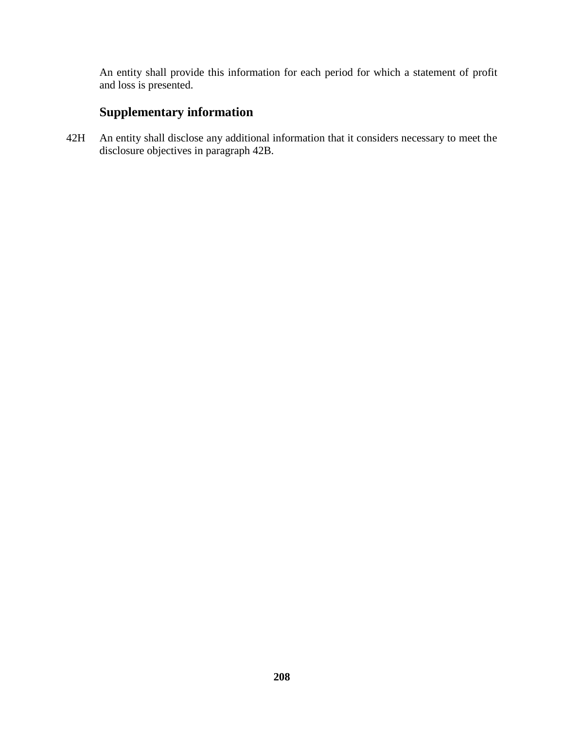An entity shall provide this information for each period for which a statement of profit and loss is presented.

# **Supplementary information**

42H An entity shall disclose any additional information that it considers necessary to meet the disclosure objectives in paragraph 42B.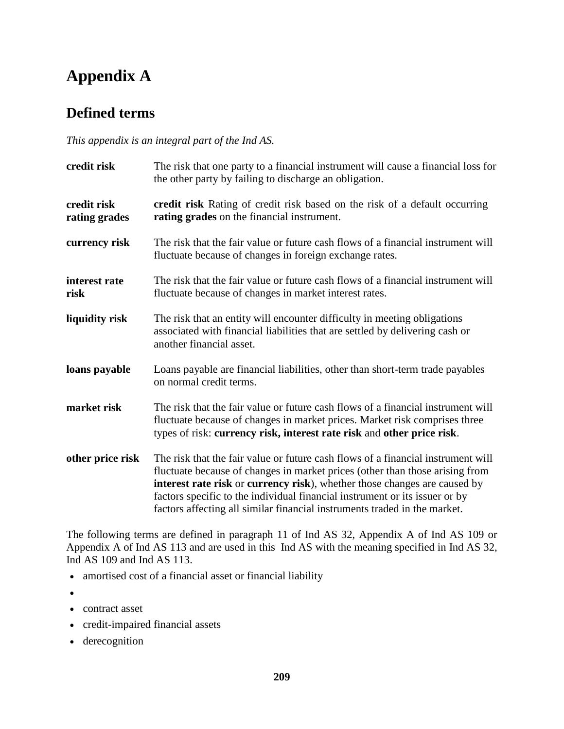# **Appendix A**

# **Defined terms**

### *This appendix is an integral part of the Ind AS.*

| credit risk                  | The risk that one party to a financial instrument will cause a financial loss for<br>the other party by failing to discharge an obligation.                                                                                                                                                                                                                                                               |
|------------------------------|-----------------------------------------------------------------------------------------------------------------------------------------------------------------------------------------------------------------------------------------------------------------------------------------------------------------------------------------------------------------------------------------------------------|
| credit risk<br>rating grades | credit risk Rating of credit risk based on the risk of a default occurring<br>rating grades on the financial instrument.                                                                                                                                                                                                                                                                                  |
| currency risk                | The risk that the fair value or future cash flows of a financial instrument will<br>fluctuate because of changes in foreign exchange rates.                                                                                                                                                                                                                                                               |
| interest rate<br>risk        | The risk that the fair value or future cash flows of a financial instrument will<br>fluctuate because of changes in market interest rates.                                                                                                                                                                                                                                                                |
| liquidity risk               | The risk that an entity will encounter difficulty in meeting obligations<br>associated with financial liabilities that are settled by delivering cash or<br>another financial asset.                                                                                                                                                                                                                      |
| loans payable                | Loans payable are financial liabilities, other than short-term trade payables<br>on normal credit terms.                                                                                                                                                                                                                                                                                                  |
| market risk                  | The risk that the fair value or future cash flows of a financial instrument will<br>fluctuate because of changes in market prices. Market risk comprises three<br>types of risk: currency risk, interest rate risk and other price risk.                                                                                                                                                                  |
| other price risk             | The risk that the fair value or future cash flows of a financial instrument will<br>fluctuate because of changes in market prices (other than those arising from<br>interest rate risk or currency risk), whether those changes are caused by<br>factors specific to the individual financial instrument or its issuer or by<br>factors affecting all similar financial instruments traded in the market. |

The following terms are defined in [paragraph 11 of I](http://eifrs.iasb.org/eifrs/stdcontent/2009_Bound_Volume/IAS32c_2005-08-18_en-3.html#SL31529)nd AS 32, Appendix A of Ind AS 109 or Appendix A of Ind AS 113 and are used in this Ind AS with the meaning specified in Ind AS 32, Ind AS 109 and Ind AS 113.

- [amortised cost of a financial asset or financial liability](http://eifrs.iasb.org/eifrs/stdcontent/2009_Bound_Volume/IAS39a_2005-08-18_en-3.html#SL134649)
- $\bullet$
- contract asset
- credit-impaired financial assets
- [derecognition](http://eifrs.iasb.org/eifrs/stdcontent/2009_Bound_Volume/IAS39a_2005-08-18_en-3.html#SL134651)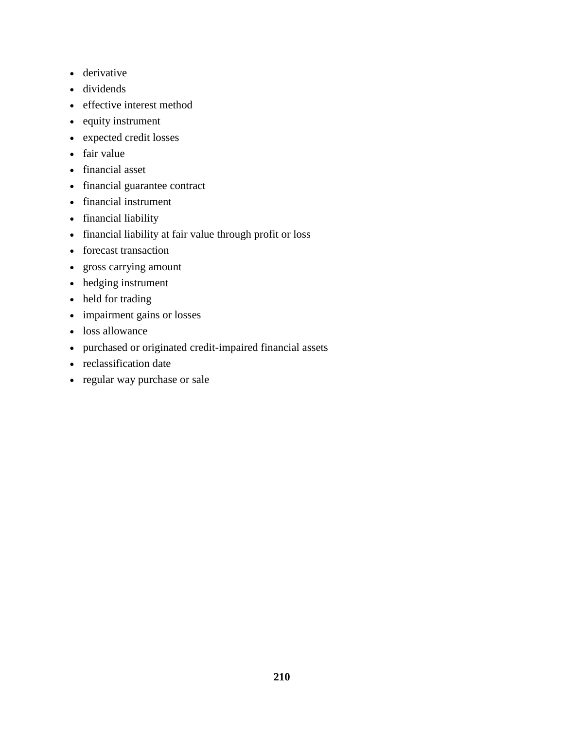- [derivative](http://eifrs.iasb.org/eifrs/stdcontent/2009_Bound_Volume/IAS39a_2005-08-18_en-3.html#SL134592)
- dividends
- [effective interest method](http://eifrs.iasb.org/eifrs/stdcontent/2009_Bound_Volume/IAS39a_2005-08-18_en-3.html#SL134650)
- [equity instrument](http://eifrs.iasb.org/eifrs/stdcontent/2009_Bound_Volume/IAS32c_2005-08-18_en-3.html#SL147211)
- expected credit losses
- [fair value](http://eifrs.iasb.org/eifrs/stdcontent/2009_Bound_Volume/IAS39a_2005-08-18_en-3.html#SL134652)
- [financial asset](http://eifrs.iasb.org/eifrs/stdcontent/2009_Bound_Volume/IAS32c_2005-08-18_en-3.html#SL147175)
- [financial guarantee contract](http://eifrs.iasb.org/eifrs/stdcontent/2009_Bound_Volume/IAS39a_2005-08-18_en-3.html#SL134648)
- [financial instrument](http://eifrs.iasb.org/eifrs/stdcontent/2009_Bound_Volume/IAS32c_2005-08-18_en-3.html#SL147174)
- [financial liability](http://eifrs.iasb.org/eifrs/stdcontent/2009_Bound_Volume/IAS32c_2005-08-18_en-3.html#SL147195)
- financial liability at fair value through profit or loss
- [forecast transaction](http://eifrs.iasb.org/eifrs/stdcontent/2009_Bound_Volume/IAS39a_2005-08-18_en-3.html#SL134656)
- gross carrying amount
- [hedging instrument](http://eifrs.iasb.org/eifrs/stdcontent/2009_Bound_Volume/IAS39a_2005-08-18_en-3.html#SL134657)
- held for trading
- impairment gains or losses
- loss allowance
- purchased or originated credit-impaired financial assets
- reclassification date
- [regular way purchase or sale](http://eifrs.iasb.org/eifrs/stdcontent/2009_Bound_Volume/IAS39a_2005-08-18_en-3.html#SL134653)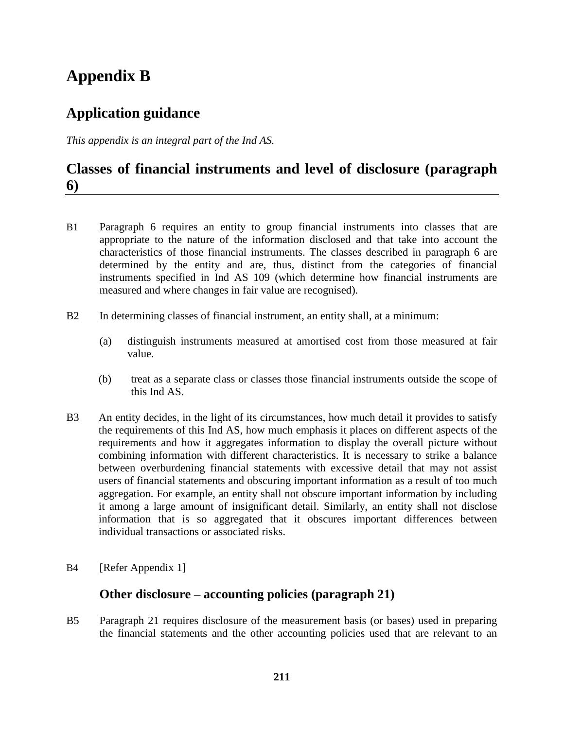# **Appendix B**

# **Application guidance**

*This appendix is an integral part of the Ind AS.*

# **Classes of financial instruments and level of disclosure [\(paragraph](http://eifrs.iasb.org/eifrs/stdcontent/2009_Bound_Volume/IFRS07c_2005-08-18_en-3.html#F94932)  [6\)](http://eifrs.iasb.org/eifrs/stdcontent/2009_Bound_Volume/IFRS07c_2005-08-18_en-3.html#F94932)**

- B1 [Paragraph 6](http://eifrs.iasb.org/eifrs/stdcontent/2009_Bound_Volume/IFRS07c_2005-08-18_en-3.html#F94932) requires an entity to group [financial instruments i](http://eifrs.iasb.org/eifrs/stdcontent/2009_Bound_Volume/IAS32c_2005-08-18_en-3.html#SL147174)nto classes that are appropriate to the nature of the information disclosed and that take into account the characteristics of those financial instruments. The classes described in [paragraph 6](http://eifrs.iasb.org/eifrs/stdcontent/2009_Bound_Volume/IFRS07c_2005-08-18_en-3.html#F94932) are determined by the entity and are, thus, distinct from the categories of financial instruments specified in Ind AS 109 (which determine how financial instruments are measured and where changes in [fair value](http://eifrs.iasb.org/eifrs/stdcontent/2009_Bound_Volume/IAS39a_2005-08-18_en-3.html#SL134652) are recognised).
- B2 In determining classes of financial instrument, an entity shall, at a minimum:
	- (a) distinguish instruments measured at [amortised cost](http://eifrs.iasb.org/eifrs/stdcontent/2009_Bound_Volume/IAS39a_2005-08-18_en-3.html#SL134649) from those measured at [fair](http://eifrs.iasb.org/eifrs/stdcontent/2009_Bound_Volume/IAS39a_2005-08-18_en-3.html#SL134652)  [value.](http://eifrs.iasb.org/eifrs/stdcontent/2009_Bound_Volume/IAS39a_2005-08-18_en-3.html#SL134652)
	- (b) treat as a separate class or classes those financial instruments outside the scope of this Ind AS.
- B3 An entity decides, in the light of its circumstances, how much detail it provides to satisfy the requirements of this Ind AS, how much emphasis it places on different aspects of the requirements and how it aggregates information to display the overall picture without combining information with different characteristics. It is necessary to strike a balance between overburdening financial statements with excessive detail that may not assist users of financial statements and obscuring important information as a result of too much aggregation. For example, an entity shall not obscure important information by including it among a large amount of insignificant detail. Similarly, an entity shall not disclose information that is so aggregated that it obscures important differences between individual transactions or associated risks.
- B4 [Refer Appendix 1]

# **Other disclosure – accounting policies [\(paragraph 21\)](http://eifrs.iasb.org/eifrs/stdcontent/2009_Bound_Volume/IFRS07c_2005-08-18_en-3.html#F94960)**

B5 [Paragraph 21](http://eifrs.iasb.org/eifrs/stdcontent/2009_Bound_Volume/IFRS07c_2005-08-18_en-3.html#F94960) requires disclosure of the measurement basis (or bases) used in preparing the financial statements and the other accounting policies used that are relevant to an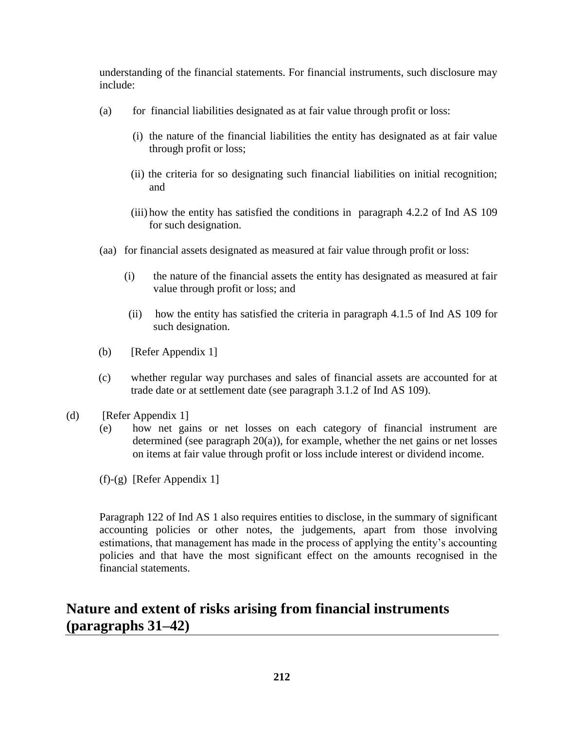understanding of the financial statements. For [financial instruments,](http://eifrs.iasb.org/eifrs/stdcontent/2009_Bound_Volume/IAS32c_2005-08-18_en-3.html#SL147174) such disclosure may include:

- (a) for [financial liabilities designated as at fair value through profit or loss:](http://eifrs.iasb.org/eifrs/stdcontent/2009_Bound_Volume/IAS39a_2005-08-18_en-3.html#SL134600)
	- (i) the nature of the [financial liabilities](http://eifrs.iasb.org/eifrs/stdcontent/2009_Bound_Volume/IAS32c_2005-08-18_en-3.html#SL147195) the entity has designated as at fair value through profit or loss;
	- (ii) the criteria for so designating such financial liabilities on initial recognition; and
	- (iii) how the entity has satisfied the conditions in paragraph 4.2.2 of Ind AS 109 for such designation.
- (aa) for financial assets designated as measured at fair value through profit or loss:
	- (i) the nature of the financial assets the entity has designated as measured at fair value through profit or loss; and
	- (ii) how the entity has satisfied the criteria in paragraph 4.1.5 of Ind AS 109 for such designation.
- (b) [Refer Appendix 1]
- (c) whether [regular way purchases and sales](http://eifrs.iasb.org/eifrs/stdcontent/2009_Bound_Volume/IAS39a_2005-08-18_en-3.html#SL134653) of financial assets are accounted for at trade date or at settlement date (see [paragraph 3.1.2 of I](http://eifrs.iasb.org/eifrs/stdcontent/2009_Bound_Volume/IAS39a_2005-08-18_en-3.html#SL33239)nd AS 109).
- (d) [Refer Appendix 1]
	- (e) how net gains or net losses on each category of financial instrument are determined (see [paragraph 20\(a\)\)](http://eifrs.iasb.org/eifrs/stdcontent/2009_Bound_Volume/IFRS07c_2005-08-18_en-3.html#F94957), for example, whether the net gains or net losses on items at fair value through profit or loss include interest or dividend income.
	- (f)-(g) [Refer Appendix 1]

[Paragraph 122 of Ind AS](http://eifrs.iasb.org/eifrs/stdcontent/2009_Bound_Volume/IAS1o_2007-09-06_en-3.html#F3903770) 1 also requires entities to disclose, in the summary of significant accounting policies or other notes, the judgements, apart from those involving estimations, that management has made in the process of applying the entity's accounting policies and that have the most significant effect on the amounts recognised in the financial statements.

# **Nature and extent of risks arising from financial instruments [\(paragraphs 31–42\)](http://eifrs.iasb.org/eifrs/stdcontent/2009_Bound_Volume/IFRS07c_2005-08-18_en-3.html#F94973)**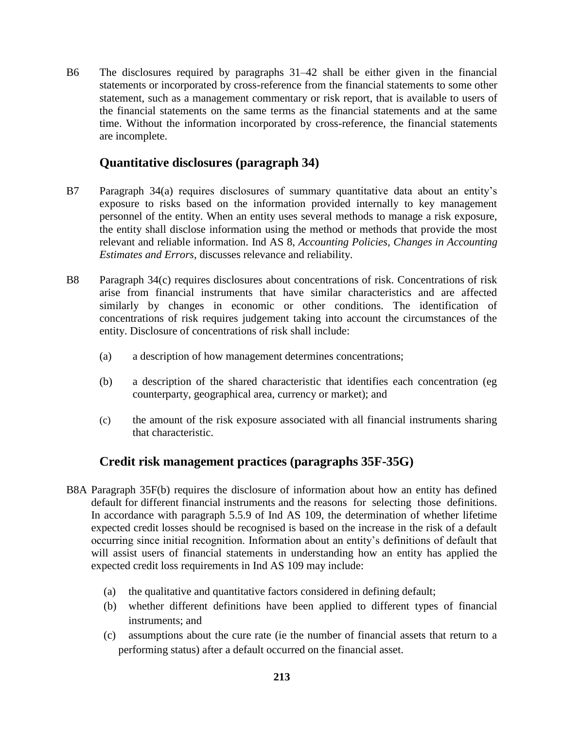B6 The disclosures required by [paragraphs 31–42](http://eifrs.iasb.org/eifrs/stdcontent/2009_Bound_Volume/IFRS07c_2005-08-18_en-3.html#F94973) shall be either given in the financial statements or incorporated by cross-reference from the financial statements to some other statement, such as a management commentary or risk report, that is available to users of the financial statements on the same terms as the financial statements and at the same time. Without the information incorporated by cross-reference, the financial statements are incomplete.

### **Quantitative disclosures [\(paragraph 34\)](http://eifrs.iasb.org/eifrs/stdcontent/2009_Bound_Volume/IFRS07c_2005-08-18_en-3.html#F94976)**

- B7 [Paragraph 34\(a\)](http://eifrs.iasb.org/eifrs/stdcontent/2009_Bound_Volume/IFRS07c_2005-08-18_en-3.html#F94976) requires disclosures of summary quantitative data about an entity's exposure to risks based on the information provided internally to key management personnel of the entity. When an entity uses several methods to manage a risk exposure, the entity shall disclose information using the method or methods that provide the most relevant and reliable information. Ind AS 8, *[Accounting Policies, Changes in Accounting](http://eifrs.iasb.org/eifrs/stdcontent/2009_Bound_Volume/IAS08c_2004-03-31_en-1.html#A8-1)  [Estimates and Errors](http://eifrs.iasb.org/eifrs/stdcontent/2009_Bound_Volume/IAS08c_2004-03-31_en-1.html#A8-1)*, discusses relevance and reliability.
- B8 [Paragraph 34\(c\)](http://eifrs.iasb.org/eifrs/stdcontent/2009_Bound_Volume/IFRS07c_2005-08-18_en-3.html#F94976) requires disclosures about concentrations of risk. Concentrations of risk arise from [financial instruments](http://eifrs.iasb.org/eifrs/stdcontent/2009_Bound_Volume/IAS32c_2005-08-18_en-3.html#SL147174) that have similar characteristics and are affected similarly by changes in economic or other conditions. The identification of concentrations of risk requires judgement taking into account the circumstances of the entity. Disclosure of concentrations of risk shall include:
	- (a) a description of how management determines concentrations;
	- (b) a description of the shared characteristic that identifies each concentration (eg counterparty, geographical area, currency or market); and
	- (c) the amount of the risk exposure associated with all financial instruments sharing that characteristic.

# **Credit risk management practices (paragraphs 35F-35G)**

- B8A Paragraph 35F(b) requires the disclosure of information about how an entity has defined default for different financial instruments and the reasons for selecting those definitions. In accordance with paragraph 5.5.9 of Ind AS 109, the determination of whether lifetime expected credit losses should be recognised is based on the increase in the risk of a default occurring since initial recognition. Information about an entity's definitions of default that will assist users of financial statements in understanding how an entity has applied the expected credit loss requirements in Ind AS 109 may include:
	- (a) the qualitative and quantitative factors considered in defining default;
	- (b) whether different definitions have been applied to different types of financial instruments; and
	- (c) assumptions about the cure rate (ie the number of financial assets that return to a performing status) after a default occurred on the financial asset.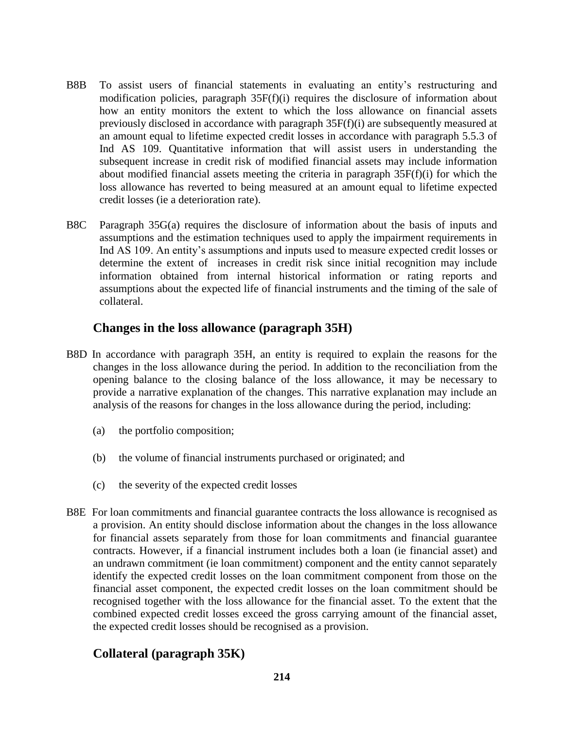- B8B To assist users of financial statements in evaluating an entity's restructuring and modification policies, paragraph  $35F(f)(i)$  requires the disclosure of information about how an entity monitors the extent to which the loss allowance on financial assets previously disclosed in accordance with paragraph 35F(f)(i) are subsequently measured at an amount equal to lifetime expected credit losses in accordance with paragraph 5.5.3 of Ind AS 109. Quantitative information that will assist users in understanding the subsequent increase in credit risk of modified financial assets may include information about modified financial assets meeting the criteria in paragraph  $35F(f)(i)$  for which the loss allowance has reverted to being measured at an amount equal to lifetime expected credit losses (ie a deterioration rate).
- B8C Paragraph 35G(a) requires the disclosure of information about the basis of inputs and assumptions and the estimation techniques used to apply the impairment requirements in Ind AS 109. An entity's assumptions and inputs used to measure expected credit losses or determine the extent of increases in credit risk since initial recognition may include information obtained from internal historical information or rating reports and assumptions about the expected life of financial instruments and the timing of the sale of collateral.

### **Changes in the loss allowance (paragraph 35H)**

- B8D In accordance with paragraph 35H, an entity is required to explain the reasons for the changes in the loss allowance during the period. In addition to the reconciliation from the opening balance to the closing balance of the loss allowance, it may be necessary to provide a narrative explanation of the changes. This narrative explanation may include an analysis of the reasons for changes in the loss allowance during the period, including:
	- (a) the portfolio composition;
	- (b) the volume of financial instruments purchased or originated; and
	- (c) the severity of the expected credit losses
- B8E For loan commitments and financial guarantee contracts the loss allowance is recognised as a provision. An entity should disclose information about the changes in the loss allowance for financial assets separately from those for loan commitments and financial guarantee contracts. However, if a financial instrument includes both a loan (ie financial asset) and an undrawn commitment (ie loan commitment) component and the entity cannot separately identify the expected credit losses on the loan commitment component from those on the financial asset component, the expected credit losses on the loan commitment should be recognised together with the loss allowance for the financial asset. To the extent that the combined expected credit losses exceed the gross carrying amount of the financial asset, the expected credit losses should be recognised as a provision.

# **Collateral (paragraph 35K)**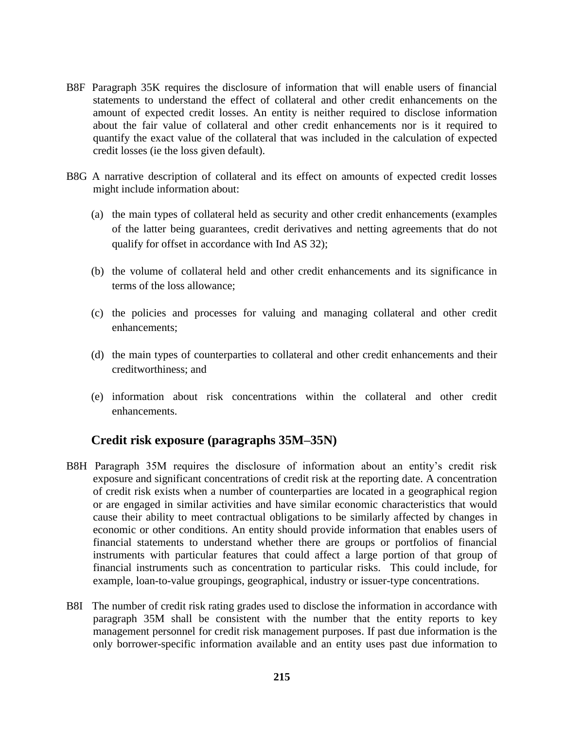- B8F Paragraph 35K requires the disclosure of information that will enable users of financial statements to understand the effect of collateral and other credit enhancements on the amount of expected credit losses. An entity is neither required to disclose information about the fair value of collateral and other credit enhancements nor is it required to quantify the exact value of the collateral that was included in the calculation of expected credit losses (ie the loss given default).
- B8G A narrative description of collateral and its effect on amounts of expected credit losses might include information about:
	- (a) the main types of collateral held as security and other credit enhancements (examples of the latter being guarantees, credit derivatives and netting agreements that do not qualify for offset in accordance with Ind AS 32);
	- (b) the volume of collateral held and other credit enhancements and its significance in terms of the loss allowance;
	- (c) the policies and processes for valuing and managing collateral and other credit enhancements;
	- (d) the main types of counterparties to collateral and other credit enhancements and their creditworthiness; and
	- (e) information about risk concentrations within the collateral and other credit enhancements.

### **Credit risk exposure (paragraphs 35M–35N)**

- B8H Paragraph 35M requires the disclosure of information about an entity's credit risk exposure and significant concentrations of credit risk at the reporting date. A concentration of credit risk exists when a number of counterparties are located in a geographical region or are engaged in similar activities and have similar economic characteristics that would cause their ability to meet contractual obligations to be similarly affected by changes in economic or other conditions. An entity should provide information that enables users of financial statements to understand whether there are groups or portfolios of financial instruments with particular features that could affect a large portion of that group of financial instruments such as concentration to particular risks. This could include, for example, loan-to-value groupings, geographical, industry or issuer-type concentrations.
- B8I The number of credit risk rating grades used to disclose the information in accordance with paragraph 35M shall be consistent with the number that the entity reports to key management personnel for credit risk management purposes. If past due information is the only borrower-specific information available and an entity uses past due information to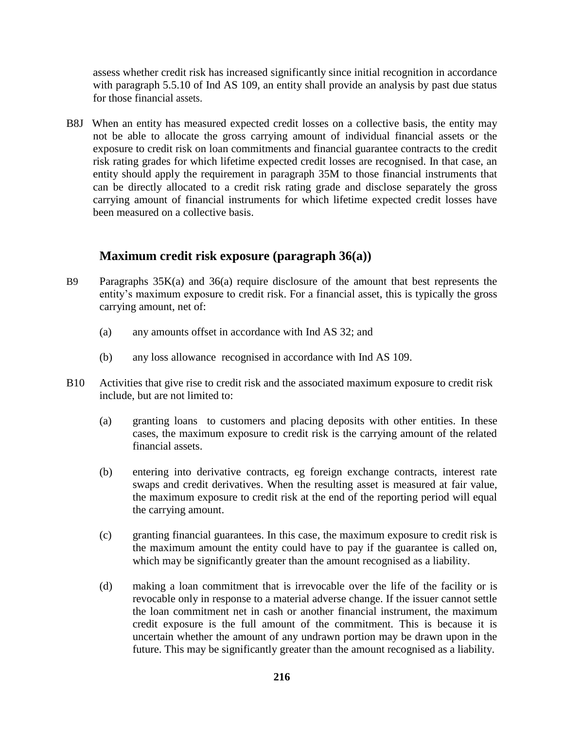assess whether credit risk has increased significantly since initial recognition in accordance with paragraph 5.5.10 of Ind AS 109, an entity shall provide an analysis by past due status for those financial assets.

B8J When an entity has measured expected credit losses on a collective basis, the entity may not be able to allocate the gross carrying amount of individual financial assets or the exposure to credit risk on loan commitments and financial guarantee contracts to the credit risk rating grades for which lifetime expected credit losses are recognised. In that case, an entity should apply the requirement in paragraph 35M to those financial instruments that can be directly allocated to a credit risk rating grade and disclose separately the gross carrying amount of financial instruments for which lifetime expected credit losses have been measured on a collective basis.

### **Maximum [credit risk](http://eifrs.iasb.org/eifrs/stdcontent/2009_Bound_Volume/IFRS07c_2005-08-18_en-4.html#SL144807) exposure [\(paragraph 36\(a\)\)](http://eifrs.iasb.org/eifrs/stdcontent/2009_Bound_Volume/IFRS07c_2005-08-18_en-3.html#F94980)**

- B9 [Paragraphs 35K\(a\) and](http://eifrs.iasb.org/eifrs/stdcontent/2009_Bound_Volume/IFRS07c_2005-08-18_en-3.html#F94980) 36(a) require disclosure of the amount that best represents the entity's maximum exposure to [credit risk.](http://eifrs.iasb.org/eifrs/stdcontent/2009_Bound_Volume/IFRS07c_2005-08-18_en-4.html#SL144807) For a [financial asset,](http://eifrs.iasb.org/eifrs/stdcontent/2009_Bound_Volume/IAS32c_2005-08-18_en-3.html#SL147175) this is typically the gross carrying amount, net of:
	- (a) any amounts offset in accordance with Ind AS 32; and
	- (b) any loss allowance recognised in accordance with Ind AS 109.
- B10 Activities that give rise to [credit risk](http://eifrs.iasb.org/eifrs/stdcontent/2009_Bound_Volume/IFRS07c_2005-08-18_en-4.html#SL144807) and the associated maximum exposure to credit risk include, but are not limited to:
	- (a) granting [loans](http://eifrs.iasb.org/eifrs/stdcontent/2009_Bound_Volume/IAS39a_2005-08-18_en-3.html#SL134637) to customers and placing deposits with other entities. In these cases, the maximum exposure to credit risk is the carrying amount of the related [financial assets.](http://eifrs.iasb.org/eifrs/stdcontent/2009_Bound_Volume/IAS32c_2005-08-18_en-3.html#SL147175)
	- (b) entering into [derivative](http://eifrs.iasb.org/eifrs/stdcontent/2009_Bound_Volume/IAS39a_2005-08-18_en-3.html#SL134592) contracts, eg foreign exchange contracts, interest rate swaps and credit derivatives. When the resulting asset is measured at [fair value,](http://eifrs.iasb.org/eifrs/stdcontent/2009_Bound_Volume/IAS39a_2005-08-18_en-3.html#SL134652) the maximum exposure to credit risk at the end of the reporting period will equal the carrying amount.
	- (c) granting financial guarantees. In this case, the maximum exposure to credit risk is the maximum amount the entity could have to pay if the guarantee is called on, which may be significantly greater than the amount recognised as a liability.
	- (d) making a loan commitment that is irrevocable over the life of the facility or is revocable only in response to a material adverse change. If the issuer cannot settle the loan commitment net in cash or another [financial instrument,](http://eifrs.iasb.org/eifrs/stdcontent/2009_Bound_Volume/IAS32c_2005-08-18_en-3.html#SL147174) the maximum credit exposure is the full amount of the commitment. This is because it is uncertain whether the amount of any undrawn portion may be drawn upon in the future. This may be significantly greater than the amount recognised as a liability.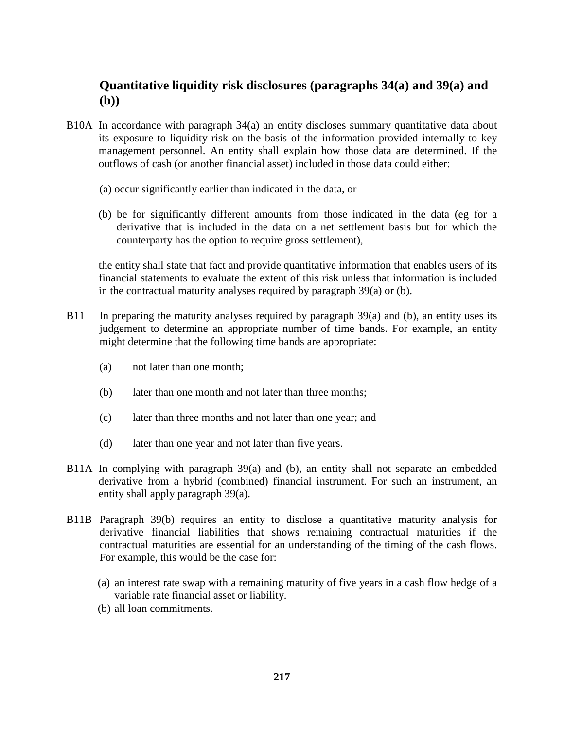# **Quantitative liquidity risk disclosures (paragraphs 34(a) and 39(a) and (b))**

- B10A In accordance with paragraph 34(a) an entity discloses summary quantitative data about its exposure to liquidity risk on the basis of the information provided internally to key management personnel. An entity shall explain how those data are determined. If the outflows of cash (or another financial asset) included in those data could either:
	- (a) occur significantly earlier than indicated in the data, or
	- (b) be for significantly different amounts from those indicated in the data (eg for a derivative that is included in the data on a net settlement basis but for which the counterparty has the option to require gross settlement),

the entity shall state that fact and provide quantitative information that enables users of its financial statements to evaluate the extent of this risk unless that information is included in the contractual maturity analyses required by paragraph 39(a) or (b).

- B11 In preparing the maturity analyses required by [paragraph 39\(a\)](http://eifrs.iasb.org/eifrs/stdcontent/2009_Bound_Volume/IFRS07c_2005-08-18_en-3.html#F94985) and (b), an entity uses its judgement to determine an appropriate number of time bands. For example, an entity might determine that the following time bands are appropriate:
	- (a) not later than one month;
	- (b) later than one month and not later than three months;
	- (c) later than three months and not later than one year; and
	- (d) later than one year and not later than five years.
- B11A In complying with paragraph 39(a) and (b), an entity shall not separate an embedded derivative from a hybrid (combined) financial instrument. For such an instrument, an entity shall apply paragraph 39(a).
- B11B Paragraph 39(b) requires an entity to disclose a quantitative maturity analysis for derivative financial liabilities that shows remaining contractual maturities if the contractual maturities are essential for an understanding of the timing of the cash flows. For example, this would be the case for:
	- (a) an interest rate swap with a remaining maturity of five years in a cash flow hedge of a variable rate financial asset or liability.
	- (b) all loan commitments.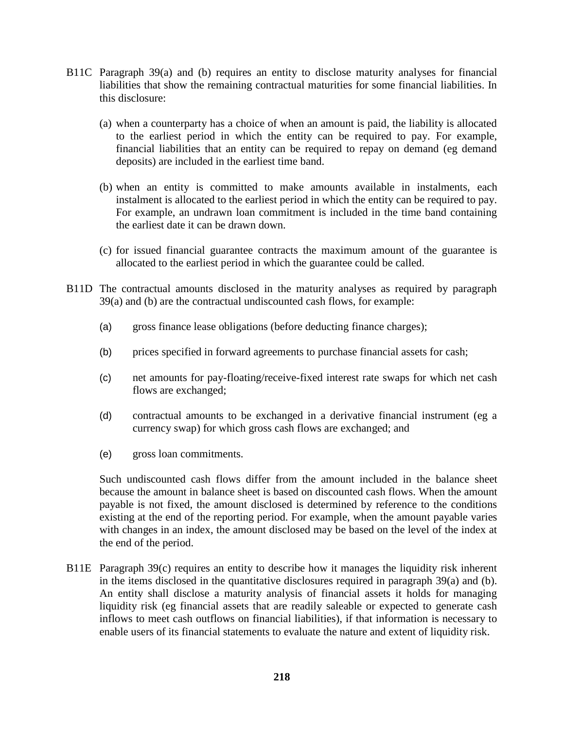- B11C Paragraph 39(a) and (b) requires an entity to disclose maturity analyses for financial liabilities that show the remaining contractual maturities for some financial liabilities. In this disclosure:
	- (a) when a counterparty has a choice of when an amount is paid, the liability is allocated to the earliest period in which the entity can be required to pay. For example, financial liabilities that an entity can be required to repay on demand (eg demand deposits) are included in the earliest time band.
	- (b) when an entity is committed to make amounts available in instalments, each instalment is allocated to the earliest period in which the entity can be required to pay. For example, an undrawn loan commitment is included in the time band containing the earliest date it can be drawn down.
	- (c) for issued financial guarantee contracts the maximum amount of the guarantee is allocated to the earliest period in which the guarantee could be called.
- B11D The contractual amounts disclosed in the maturity analyses as required by paragraph 39(a) and (b) are the contractual undiscounted cash flows, for example:
	- (a) gross finance lease obligations (before deducting finance charges);
	- (b) prices specified in forward agreements to purchase financial assets for cash;
	- (c) net amounts for pay-floating/receive-fixed interest rate swaps for which net cash flows are exchanged;
	- (d) contractual amounts to be exchanged in a derivative financial instrument (eg a currency swap) for which gross cash flows are exchanged; and
	- (e) gross loan commitments.

Such undiscounted cash flows differ from the amount included in the balance sheet because the amount in balance sheet is based on discounted cash flows. When the amount payable is not fixed, the amount disclosed is determined by reference to the conditions existing at the end of the reporting period. For example, when the amount payable varies with changes in an index, the amount disclosed may be based on the level of the index at the end of the period.

B11E Paragraph 39(c) requires an entity to describe how it manages the liquidity risk inherent in the items disclosed in the quantitative disclosures required in paragraph 39(a) and (b). An entity shall disclose a maturity analysis of financial assets it holds for managing liquidity risk (eg financial assets that are readily saleable or expected to generate cash inflows to meet cash outflows on financial liabilities), if that information is necessary to enable users of its financial statements to evaluate the nature and extent of liquidity risk.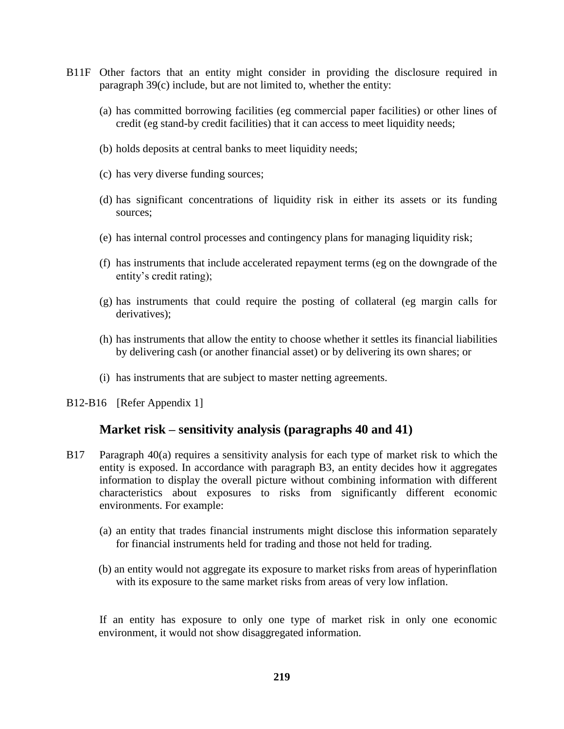- B11F Other factors that an entity might consider in providing the disclosure required in paragraph 39(c) include, but are not limited to, whether the entity:
	- (a) has committed borrowing facilities (eg commercial paper facilities) or other lines of credit (eg stand-by credit facilities) that it can access to meet liquidity needs;
	- (b) holds deposits at central banks to meet liquidity needs;
	- (c) has very diverse funding sources;
	- (d) has significant concentrations of liquidity risk in either its assets or its funding sources;
	- (e) has internal control processes and contingency plans for managing liquidity risk;
	- (f) has instruments that include accelerated repayment terms (eg on the downgrade of the entity's credit rating);
	- (g) has instruments that could require the posting of collateral (eg margin calls for derivatives);
	- (h) has instruments that allow the entity to choose whether it settles its financial liabilities by delivering cash (or another financial asset) or by delivering its own shares; or
	- (i) has instruments that are subject to master netting agreements.
- B12-B16 [Refer Appendix 1]

### **[Market risk](http://eifrs.iasb.org/eifrs/stdcontent/2009_Bound_Volume/IFRS07c_2005-08-18_en-4.html#SL144822) – sensitivity analysis [\(paragraphs 40 and 41\)](http://eifrs.iasb.org/eifrs/stdcontent/2009_Bound_Volume/IFRS07c_2005-08-18_en-3.html#F94987)**

- B17 [Paragraph 40\(a\)](http://eifrs.iasb.org/eifrs/stdcontent/2009_Bound_Volume/IFRS07c_2005-08-18_en-3.html#F94987) requires a sensitivity analysis for each type of [market risk](http://eifrs.iasb.org/eifrs/stdcontent/2009_Bound_Volume/IFRS07c_2005-08-18_en-4.html#SL144822) to which the entity is exposed. In accordance with [paragraph B3,](http://eifrs.iasb.org/eifrs/stdcontent/2009_Bound_Volume/IFRS07c_2005-08-18_en-5.html#F95066) an entity decides how it aggregates information to display the overall picture without combining information with different characteristics about exposures to risks from significantly different economic environments. For example:
	- (a) an entity that trades [financial instruments](http://eifrs.iasb.org/eifrs/stdcontent/2009_Bound_Volume/IAS32c_2005-08-18_en-3.html#SL147174) might disclose this information separately for [financial instruments held for trading](http://eifrs.iasb.org/eifrs/stdcontent/2009_Bound_Volume/IAS39a_2005-08-18_en-3.html#SL134600) and those not held for trading.
	- (b) an entity would not aggregate its exposure to market risks from areas of hyperinflation with its exposure to the same market risks from areas of very low inflation.

If an entity has exposure to only one type of market risk in only one economic environment, it would not show disaggregated information.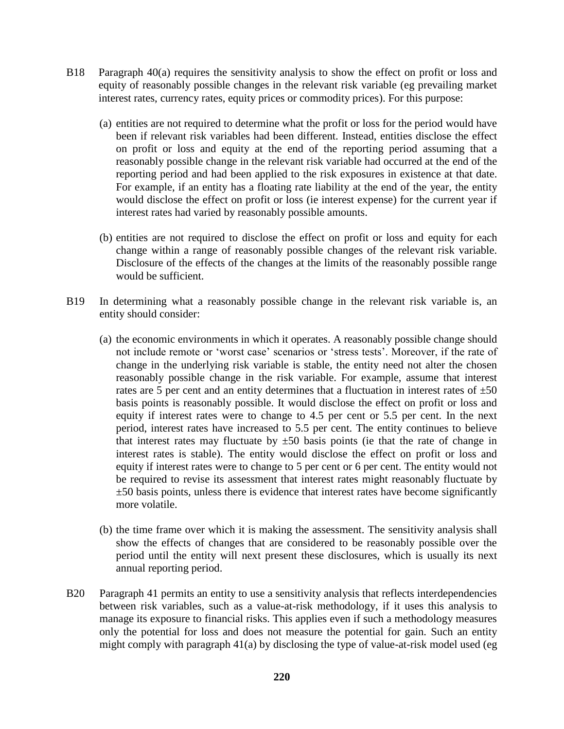- B18 [Paragraph 40\(a\)](http://eifrs.iasb.org/eifrs/stdcontent/2009_Bound_Volume/IFRS07c_2005-08-18_en-3.html#F94987) requires the sensitivity analysis to show the effect on profit or loss and equity of reasonably possible changes in the relevant risk variable (eg prevailing market interest rates, currency rates, equity prices or commodity prices). For this purpose:
	- (a) entities are not required to determine what the profit or loss for the period would have been if relevant risk variables had been different. Instead, entities disclose the effect on profit or loss and equity at the end of the reporting period assuming that a reasonably possible change in the relevant risk variable had occurred at the end of the reporting period and had been applied to the risk exposures in existence at that date. For example, if an entity has a floating rate liability at the end of the year, the entity would disclose the effect on profit or loss (ie interest expense) for the current year if interest rates had varied by reasonably possible amounts.
	- (b) entities are not required to disclose the effect on profit or loss and equity for each change within a range of reasonably possible changes of the relevant risk variable. Disclosure of the effects of the changes at the limits of the reasonably possible range would be sufficient.
- B19 In determining what a reasonably possible change in the relevant risk variable is, an entity should consider:
	- (a) the economic environments in which it operates. A reasonably possible change should not include remote or 'worst case' scenarios or 'stress tests'. Moreover, if the rate of change in the underlying risk variable is stable, the entity need not alter the chosen reasonably possible change in the risk variable. For example, assume that interest rates are 5 per cent and an entity determines that a fluctuation in interest rates of  $\pm 50$ basis points is reasonably possible. It would disclose the effect on profit or loss and equity if interest rates were to change to 4.5 per cent or 5.5 per cent. In the next period, interest rates have increased to 5.5 per cent. The entity continues to believe that interest rates may fluctuate by  $\pm 50$  basis points (ie that the rate of change in interest rates is stable). The entity would disclose the effect on profit or loss and equity if interest rates were to change to 5 per cent or 6 per cent. The entity would not be required to revise its assessment that interest rates might reasonably fluctuate by  $\pm 50$  basis points, unless there is evidence that interest rates have become significantly more volatile.
	- (b) the time frame over which it is making the assessment. The sensitivity analysis shall show the effects of changes that are considered to be reasonably possible over the period until the entity will next present these disclosures, which is usually its next annual reporting period.
- B20 [Paragraph 41](http://eifrs.iasb.org/eifrs/stdcontent/2009_Bound_Volume/IFRS07c_2005-08-18_en-3.html#F94989) permits an entity to use a sensitivity analysis that reflects interdependencies between risk variables, such as a value-at-risk methodology, if it uses this analysis to manage its exposure to financial risks. This applies even if such a methodology measures only the potential for loss and does not measure the potential for gain. Such an entity might comply with [paragraph 41\(a\)](http://eifrs.iasb.org/eifrs/stdcontent/2009_Bound_Volume/IFRS07c_2005-08-18_en-3.html#F94989) by disclosing the type of value-at-risk model used (eg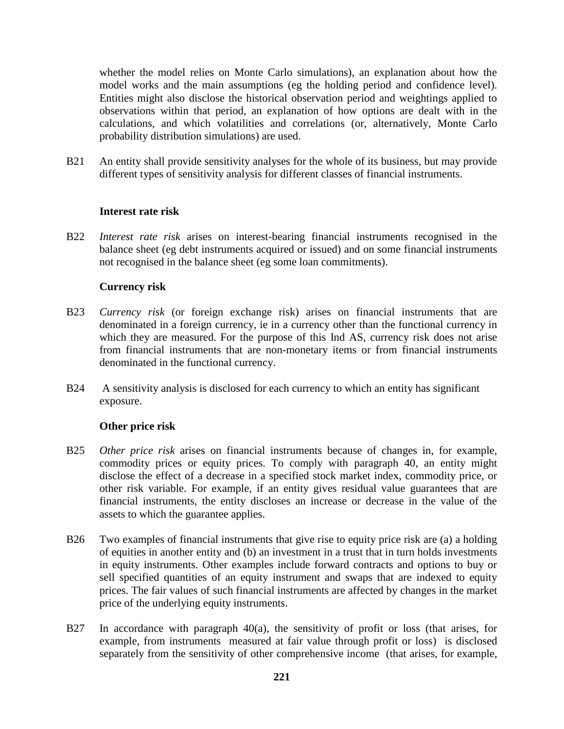whether the model relies on Monte Carlo simulations), an explanation about how the model works and the main assumptions (eg the holding period and confidence level). Entities might also disclose the historical observation period and weightings applied to observations within that period, an explanation of how options are dealt with in the calculations, and which volatilities and correlations (or, alternatively, Monte Carlo probability distribution simulations) are used.

B21 An entity shall provide sensitivity analyses for the whole of its business, but may provide different types of sensitivity analysis for different classes of [financial instruments.](http://eifrs.iasb.org/eifrs/stdcontent/2009_Bound_Volume/IAS32c_2005-08-18_en-3.html#SL147174)

#### **Interest rate risk**

B22 *[Interest rate risk](http://eifrs.iasb.org/eifrs/stdcontent/2009_Bound_Volume/IFRS07c_2005-08-18_en-4.html#SL144813)* arises on interest-bearing financial instruments recognised in the balance sheet (eg debt instruments acquired or issued) and on some [financial instruments](http://eifrs.iasb.org/eifrs/stdcontent/2009_Bound_Volume/IAS32c_2005-08-18_en-3.html#SL147174) not recognised in the balance sheet (eg some loan commitments).

### **Currency risk**

- B23 *[Currency risk](http://eifrs.iasb.org/eifrs/stdcontent/2009_Bound_Volume/IFRS07c_2005-08-18_en-4.html#SL144810)* (or foreign exchange risk) arises on [financial instruments](http://eifrs.iasb.org/eifrs/stdcontent/2009_Bound_Volume/IAS32c_2005-08-18_en-3.html#SL147174) that are denominated in a foreign currency, ie in a currency other than the functional currency in which they are measured. For the purpose of this Ind AS, currency risk does not arise from [financial instruments](http://eifrs.iasb.org/eifrs/stdcontent/2009_Bound_Volume/IAS32c_2005-08-18_en-3.html#SL147174) that are non-monetary items or from financial instruments denominated in the functional currency.
- B24 A sensitivity analysis is disclosed for each currency to which an entity has significant exposure.

### **Other price risk**

- B25 *[Other price risk](http://eifrs.iasb.org/eifrs/stdcontent/2009_Bound_Volume/IFRS07c_2005-08-18_en-4.html#SL144825)* arises on [financial instruments](http://eifrs.iasb.org/eifrs/stdcontent/2009_Bound_Volume/IAS32c_2005-08-18_en-3.html#SL147174) because of changes in, for example, commodity prices or equity prices. To comply with [paragraph 40,](http://eifrs.iasb.org/eifrs/stdcontent/2009_Bound_Volume/IFRS07c_2005-08-18_en-3.html#F94987) an entity might disclose the effect of a decrease in a specified stock market index, commodity price, or other risk variable. For example, if an entity gives residual value guarantees that are financial instruments, the entity discloses an increase or decrease in the value of the assets to which the guarantee applies.
- B26 Two examples of [financial instruments](http://eifrs.iasb.org/eifrs/stdcontent/2009_Bound_Volume/IAS32c_2005-08-18_en-3.html#SL147174) that give rise to equity price risk are (a) a holding of equities in another entity and (b) an investment in a trust that in turn holds investments in equity instruments. Other examples include forward contracts and options to buy or sell specified quantities of an equity instrument and swaps that are indexed to equity prices. The [fair values](http://eifrs.iasb.org/eifrs/stdcontent/2009_Bound_Volume/IAS39a_2005-08-18_en-3.html#SL134652) of such financial instruments are affected by changes in the market price of the underlying [equity instruments.](http://eifrs.iasb.org/eifrs/stdcontent/2009_Bound_Volume/IAS32c_2005-08-18_en-3.html#SL147211)
- B27 In accordance with [paragraph 40\(a\),](http://eifrs.iasb.org/eifrs/stdcontent/2009_Bound_Volume/IFRS07c_2005-08-18_en-3.html#F94987) the sensitivity of profit or loss (that arises, for example, from instruments measured [at fair value through profit or loss\)](http://eifrs.iasb.org/eifrs/stdcontent/2009_Bound_Volume/IAS39a_2005-08-18_en-3.html#SL134600) is disclosed separately from the sensitivity of other comprehensive income (that arises, for example,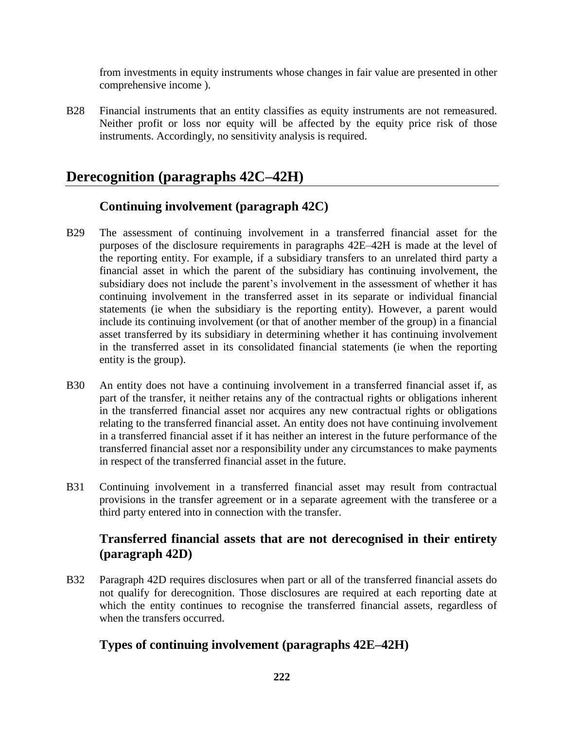from investments in equity instruments whose changes in fair value are presented in other comprehensive income ).

B28 Financial instruments that an entity classifies as equity instruments are not remeasured. Neither profit or loss nor equity will be affected by the equity price risk of those instruments. Accordingly, no sensitivity analysis is required.

# **Derecognition (paragraphs 42C–42H)**

# **Continuing involvement (paragraph 42C)**

- B29 The assessment of continuing involvement in a transferred financial asset for the purposes of the disclosure requirements in paragraphs 42E–42H is made at the level of the reporting entity. For example, if a subsidiary transfers to an unrelated third party a financial asset in which the parent of the subsidiary has continuing involvement, the subsidiary does not include the parent's involvement in the assessment of whether it has continuing involvement in the transferred asset in its separate or individual financial statements (ie when the subsidiary is the reporting entity). However, a parent would include its continuing involvement (or that of another member of the group) in a financial asset transferred by its subsidiary in determining whether it has continuing involvement in the transferred asset in its consolidated financial statements (ie when the reporting entity is the group).
- B30 An entity does not have a continuing involvement in a transferred financial asset if, as part of the transfer, it neither retains any of the contractual rights or obligations inherent in the transferred financial asset nor acquires any new contractual rights or obligations relating to the transferred financial asset. An entity does not have continuing involvement in a transferred financial asset if it has neither an interest in the future performance of the transferred financial asset nor a responsibility under any circumstances to make payments in respect of the transferred financial asset in the future.
- B31 Continuing involvement in a transferred financial asset may result from contractual provisions in the transfer agreement or in a separate agreement with the transferee or a third party entered into in connection with the transfer.

# **Transferred financial assets that are not derecognised in their entirety (paragraph 42D)**

B32 Paragraph 42D requires disclosures when part or all of the transferred financial assets do not qualify for derecognition. Those disclosures are required at each reporting date at which the entity continues to recognise the transferred financial assets, regardless of when the transfers occurred.

# **Types of continuing involvement (paragraphs 42E–42H)**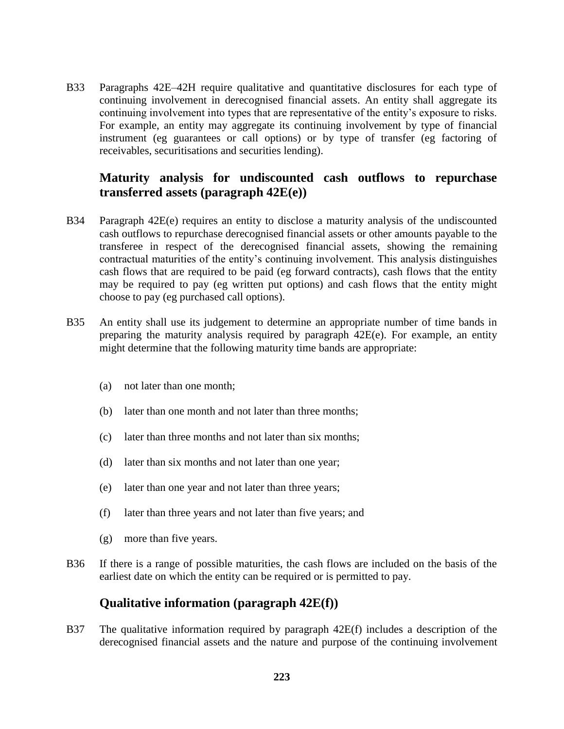B33 Paragraphs 42E–42H require qualitative and quantitative disclosures for each type of continuing involvement in derecognised financial assets. An entity shall aggregate its continuing involvement into types that are representative of the entity's exposure to risks. For example, an entity may aggregate its continuing involvement by type of financial instrument (eg guarantees or call options) or by type of transfer (eg factoring of receivables, securitisations and securities lending).

# **Maturity analysis for undiscounted cash outflows to repurchase transferred assets (paragraph 42E(e))**

- B34 Paragraph 42E(e) requires an entity to disclose a maturity analysis of the undiscounted cash outflows to repurchase derecognised financial assets or other amounts payable to the transferee in respect of the derecognised financial assets, showing the remaining contractual maturities of the entity's continuing involvement. This analysis distinguishes cash flows that are required to be paid (eg forward contracts), cash flows that the entity may be required to pay (eg written put options) and cash flows that the entity might choose to pay (eg purchased call options).
- B35 An entity shall use its judgement to determine an appropriate number of time bands in preparing the maturity analysis required by paragraph 42E(e). For example, an entity might determine that the following maturity time bands are appropriate:
	- (a) not later than one month;
	- (b) later than one month and not later than three months;
	- (c) later than three months and not later than six months;
	- (d) later than six months and not later than one year;
	- (e) later than one year and not later than three years;
	- (f) later than three years and not later than five years; and
	- (g) more than five years.
- B36 If there is a range of possible maturities, the cash flows are included on the basis of the earliest date on which the entity can be required or is permitted to pay.

### **Qualitative information (paragraph 42E(f))**

B37 The qualitative information required by paragraph 42E(f) includes a description of the derecognised financial assets and the nature and purpose of the continuing involvement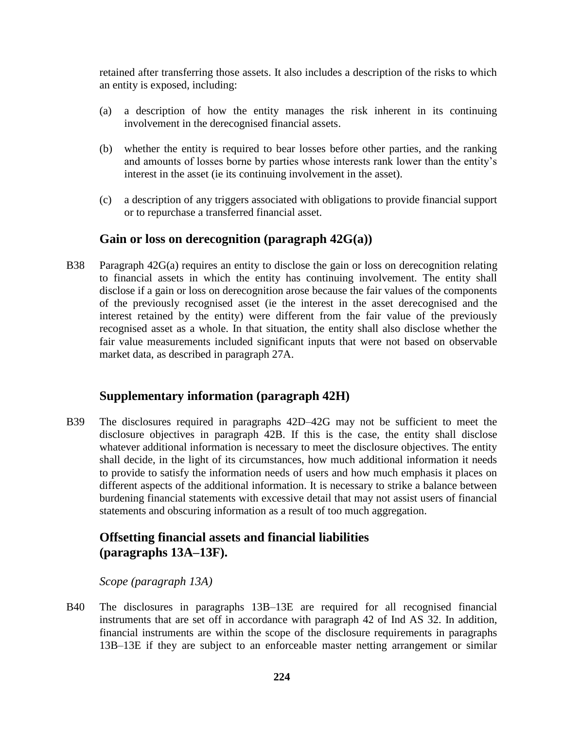retained after transferring those assets. It also includes a description of the risks to which an entity is exposed, including:

- (a) a description of how the entity manages the risk inherent in its continuing involvement in the derecognised financial assets.
- (b) whether the entity is required to bear losses before other parties, and the ranking and amounts of losses borne by parties whose interests rank lower than the entity's interest in the asset (ie its continuing involvement in the asset).
- (c) a description of any triggers associated with obligations to provide financial support or to repurchase a transferred financial asset.

# **Gain or loss on derecognition (paragraph 42G(a))**

B38 Paragraph 42G(a) requires an entity to disclose the gain or loss on derecognition relating to financial assets in which the entity has continuing involvement. The entity shall disclose if a gain or loss on derecognition arose because the fair values of the components of the previously recognised asset (ie the interest in the asset derecognised and the interest retained by the entity) were different from the fair value of the previously recognised asset as a whole. In that situation, the entity shall also disclose whether the fair value measurements included significant inputs that were not based on observable market data, as described in paragraph 27A.

# **Supplementary information (paragraph 42H)**

B39 The disclosures required in paragraphs 42D–42G may not be sufficient to meet the disclosure objectives in paragraph 42B. If this is the case, the entity shall disclose whatever additional information is necessary to meet the disclosure objectives. The entity shall decide, in the light of its circumstances, how much additional information it needs to provide to satisfy the information needs of users and how much emphasis it places on different aspects of the additional information. It is necessary to strike a balance between burdening financial statements with excessive detail that may not assist users of financial statements and obscuring information as a result of too much aggregation.

# **Offsetting financial assets and financial liabilities (paragraphs 13A–13F).**

*Scope (paragraph 13A)*

B40 The disclosures in paragraphs 13B–13E are required for all recognised financial instruments that are set off in accordance with paragraph 42 of Ind AS 32. In addition, financial instruments are within the scope of the disclosure requirements in paragraphs 13B–13E if they are subject to an enforceable master netting arrangement or similar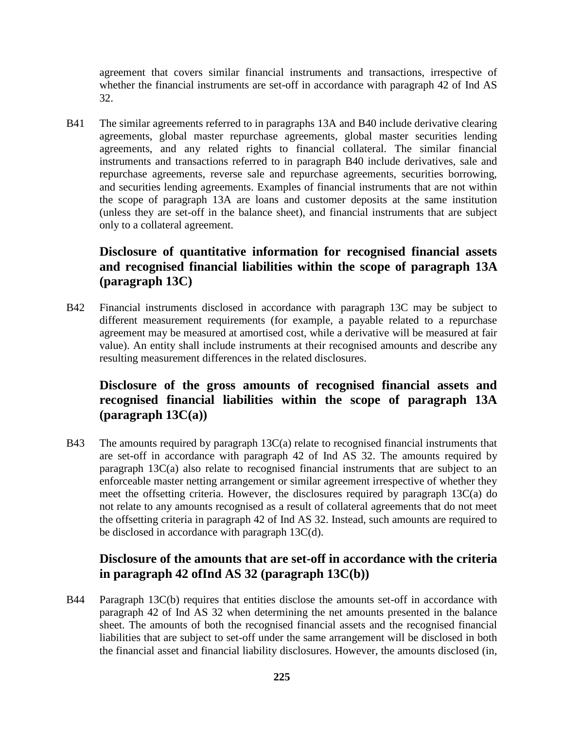agreement that covers similar financial instruments and transactions, irrespective of whether the financial instruments are set-off in accordance with paragraph 42 of Ind AS 32.

B41 The similar agreements referred to in paragraphs 13A and B40 include derivative clearing agreements, global master repurchase agreements, global master securities lending agreements, and any related rights to financial collateral. The similar financial instruments and transactions referred to in paragraph B40 include derivatives, sale and repurchase agreements, reverse sale and repurchase agreements, securities borrowing, and securities lending agreements. Examples of financial instruments that are not within the scope of paragraph 13A are loans and customer deposits at the same institution (unless they are set-off in the balance sheet), and financial instruments that are subject only to a collateral agreement.

# **Disclosure of quantitative information for recognised financial assets and recognised financial liabilities within the scope of paragraph 13A (paragraph 13C)**

B42 Financial instruments disclosed in accordance with paragraph 13C may be subject to different measurement requirements (for example, a payable related to a repurchase agreement may be measured at amortised cost, while a derivative will be measured at fair value). An entity shall include instruments at their recognised amounts and describe any resulting measurement differences in the related disclosures.

# **Disclosure of the gross amounts of recognised financial assets and recognised financial liabilities within the scope of paragraph 13A (paragraph 13C(a))**

B43 The amounts required by paragraph 13C(a) relate to recognised financial instruments that are set-off in accordance with paragraph 42 of Ind AS 32. The amounts required by paragraph 13C(a) also relate to recognised financial instruments that are subject to an enforceable master netting arrangement or similar agreement irrespective of whether they meet the offsetting criteria. However, the disclosures required by paragraph 13C(a) do not relate to any amounts recognised as a result of collateral agreements that do not meet the offsetting criteria in paragraph 42 of Ind AS 32. Instead, such amounts are required to be disclosed in accordance with paragraph 13C(d).

# **Disclosure of the amounts that are set-off in accordance with the criteria in paragraph 42 ofInd AS 32 (paragraph 13C(b))**

B44 Paragraph 13C(b) requires that entities disclose the amounts set-off in accordance with paragraph 42 of Ind AS 32 when determining the net amounts presented in the balance sheet. The amounts of both the recognised financial assets and the recognised financial liabilities that are subject to set-off under the same arrangement will be disclosed in both the financial asset and financial liability disclosures. However, the amounts disclosed (in,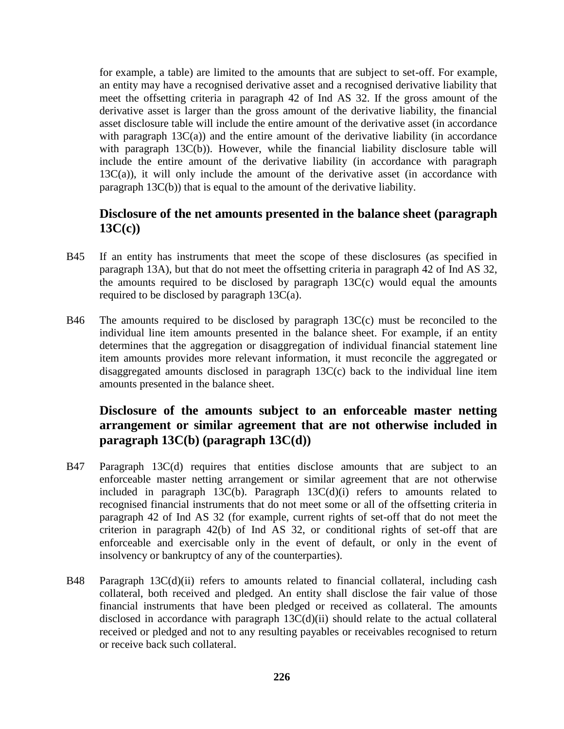for example, a table) are limited to the amounts that are subject to set-off. For example, an entity may have a recognised derivative asset and a recognised derivative liability that meet the offsetting criteria in paragraph 42 of Ind AS 32. If the gross amount of the derivative asset is larger than the gross amount of the derivative liability, the financial asset disclosure table will include the entire amount of the derivative asset (in accordance with paragraph  $13C(a)$ ) and the entire amount of the derivative liability (in accordance with paragraph 13C(b)). However, while the financial liability disclosure table will include the entire amount of the derivative liability (in accordance with paragraph  $13C(a)$ ), it will only include the amount of the derivative asset (in accordance with paragraph 13C(b)) that is equal to the amount of the derivative liability.

### **Disclosure of the net amounts presented in the balance sheet (paragraph 13C(c))**

- B45 If an entity has instruments that meet the scope of these disclosures (as specified in paragraph 13A), but that do not meet the offsetting criteria in paragraph 42 of Ind AS 32, the amounts required to be disclosed by paragraph  $13C(c)$  would equal the amounts required to be disclosed by paragraph 13C(a).
- B46 The amounts required to be disclosed by paragraph 13C(c) must be reconciled to the individual line item amounts presented in the balance sheet. For example, if an entity determines that the aggregation or disaggregation of individual financial statement line item amounts provides more relevant information, it must reconcile the aggregated or disaggregated amounts disclosed in paragraph 13C(c) back to the individual line item amounts presented in the balance sheet.

# **Disclosure of the amounts subject to an enforceable master netting arrangement or similar agreement that are not otherwise included in paragraph 13C(b) (paragraph 13C(d))**

- B47 Paragraph 13C(d) requires that entities disclose amounts that are subject to an enforceable master netting arrangement or similar agreement that are not otherwise included in paragraph  $13C(b)$ . Paragraph  $13C(d)(i)$  refers to amounts related to recognised financial instruments that do not meet some or all of the offsetting criteria in paragraph 42 of Ind AS 32 (for example, current rights of set-off that do not meet the criterion in paragraph 42(b) of Ind AS 32, or conditional rights of set-off that are enforceable and exercisable only in the event of default, or only in the event of insolvency or bankruptcy of any of the counterparties).
- B48 Paragraph 13C(d)(ii) refers to amounts related to financial collateral, including cash collateral, both received and pledged. An entity shall disclose the fair value of those financial instruments that have been pledged or received as collateral. The amounts disclosed in accordance with paragraph 13C(d)(ii) should relate to the actual collateral received or pledged and not to any resulting payables or receivables recognised to return or receive back such collateral.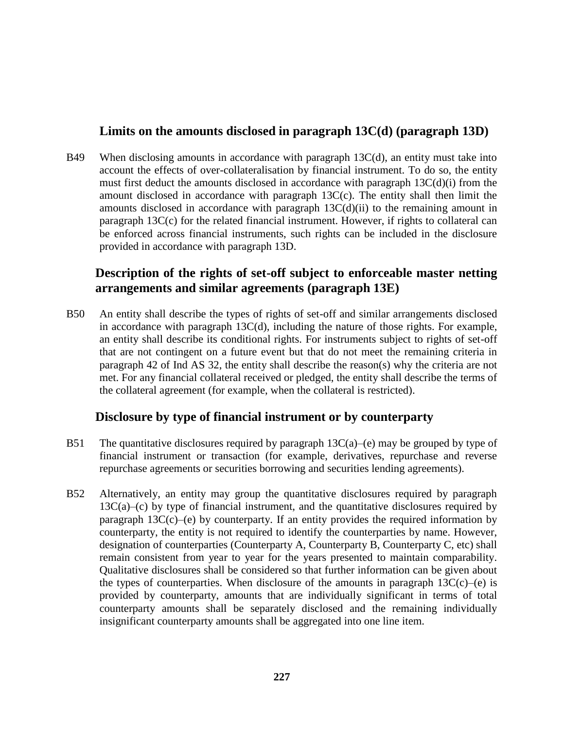# **Limits on the amounts disclosed in paragraph 13C(d) (paragraph 13D)**

B49 When disclosing amounts in accordance with paragraph 13C(d), an entity must take into account the effects of over-collateralisation by financial instrument. To do so, the entity must first deduct the amounts disclosed in accordance with paragraph 13C(d)(i) from the amount disclosed in accordance with paragraph 13C(c). The entity shall then limit the amounts disclosed in accordance with paragraph  $13C(d)(ii)$  to the remaining amount in paragraph 13C(c) for the related financial instrument. However, if rights to collateral can be enforced across financial instruments, such rights can be included in the disclosure provided in accordance with paragraph 13D.

# **Description of the rights of set-off subject to enforceable master netting arrangements and similar agreements (paragraph 13E)**

B50 An entity shall describe the types of rights of set-off and similar arrangements disclosed in accordance with paragraph 13C(d), including the nature of those rights. For example, an entity shall describe its conditional rights. For instruments subject to rights of set-off that are not contingent on a future event but that do not meet the remaining criteria in paragraph 42 of Ind AS 32, the entity shall describe the reason(s) why the criteria are not met. For any financial collateral received or pledged, the entity shall describe the terms of the collateral agreement (for example, when the collateral is restricted).

# **Disclosure by type of financial instrument or by counterparty**

- B51 The quantitative disclosures required by paragraph  $13C(a)$ –(e) may be grouped by type of financial instrument or transaction (for example, derivatives, repurchase and reverse repurchase agreements or securities borrowing and securities lending agreements).
- B52 Alternatively, an entity may group the quantitative disclosures required by paragraph  $13C(a)$ –(c) by type of financial instrument, and the quantitative disclosures required by paragraph  $13C(c)$ –(e) by counterparty. If an entity provides the required information by counterparty, the entity is not required to identify the counterparties by name. However, designation of counterparties (Counterparty A, Counterparty B, Counterparty C, etc) shall remain consistent from year to year for the years presented to maintain comparability. Qualitative disclosures shall be considered so that further information can be given about the types of counterparties. When disclosure of the amounts in paragraph  $13C(c)$ –(e) is provided by counterparty, amounts that are individually significant in terms of total counterparty amounts shall be separately disclosed and the remaining individually insignificant counterparty amounts shall be aggregated into one line item.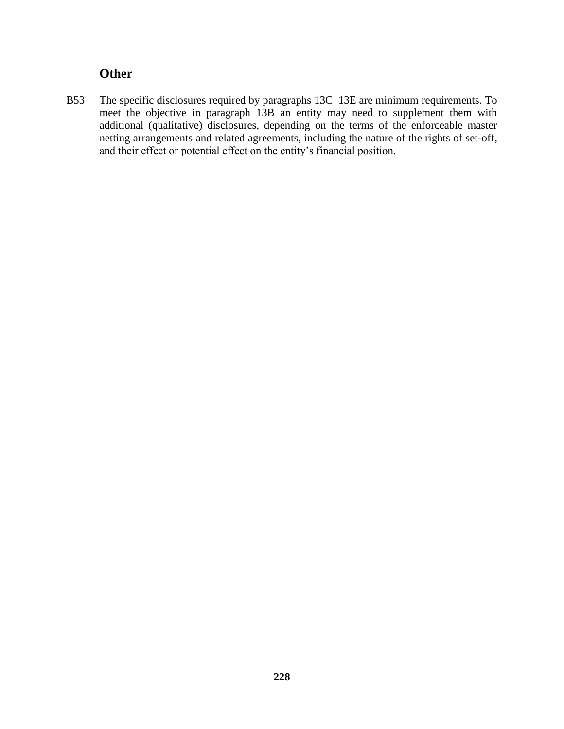### **Other**

B53 The specific disclosures required by paragraphs 13C–13E are minimum requirements. To meet the objective in paragraph 13B an entity may need to supplement them with additional (qualitative) disclosures, depending on the terms of the enforceable master netting arrangements and related agreements, including the nature of the rights of set-off, and their effect or potential effect on the entity's financial position.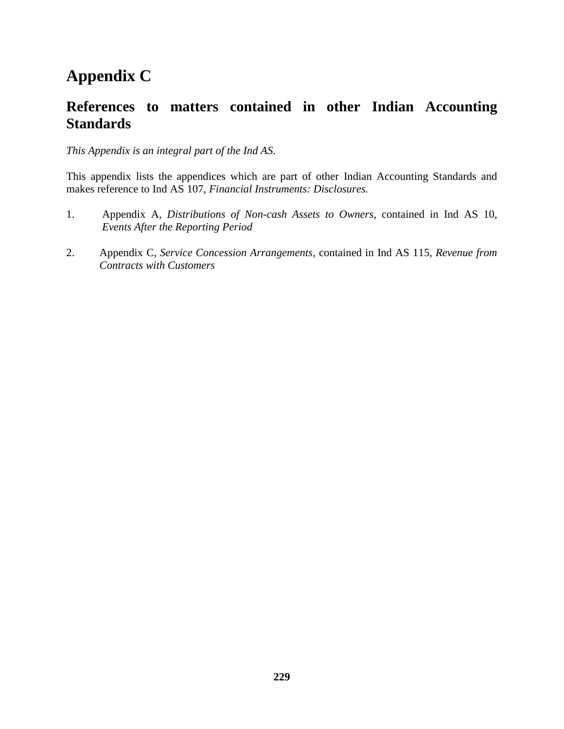# **Appendix C**

# **References to matters contained in other Indian Accounting Standards**

*This Appendix is an integral part of the Ind AS*.

This appendix lists the appendices which are part of other Indian Accounting Standards and makes reference to Ind AS 107, *Financial Instruments: Disclosures.*

- 1. Appendix A, *Distributions of Non-cash Assets to Owners,* contained in Ind AS 10, *Events After the Reporting Period*
- 2. Appendix C, *Service Concession Arrangements,* contained in Ind AS 115, *Revenue from Contracts with Customers*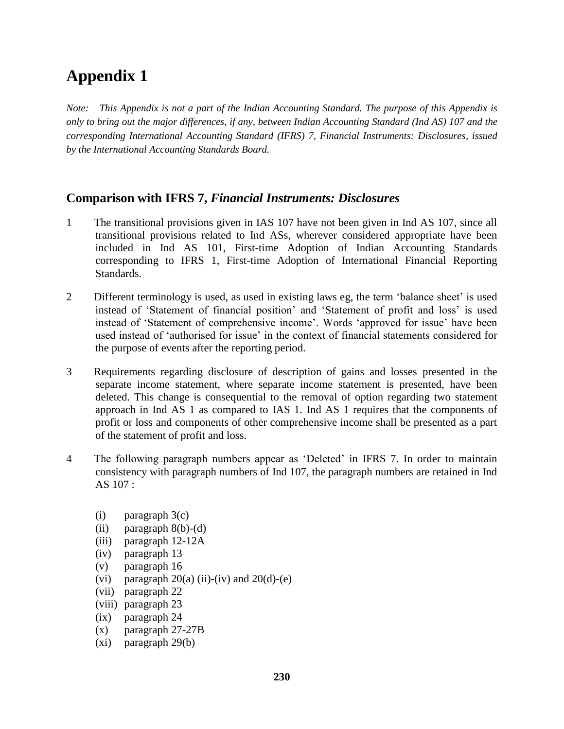# **Appendix 1**

*Note: This Appendix is not a part of the Indian Accounting Standard. The purpose of this Appendix is only to bring out the major differences, if any, between Indian Accounting Standard (Ind AS) 107 and the corresponding International Accounting Standard (IFRS) 7, Financial Instruments: Disclosures, issued by the International Accounting Standards Board.*

### **Comparison with IFRS 7,** *Financial Instruments: Disclosures*

- 1 The transitional provisions given in IAS 107 have not been given in Ind AS 107, since all transitional provisions related to Ind ASs, wherever considered appropriate have been included in Ind AS 101, First-time Adoption of Indian Accounting Standards corresponding to IFRS 1, First-time Adoption of International Financial Reporting Standards.
- 2 Different terminology is used, as used in existing laws eg, the term 'balance sheet' is used instead of 'Statement of financial position' and 'Statement of profit and loss' is used instead of 'Statement of comprehensive income'. Words 'approved for issue' have been used instead of 'authorised for issue' in the context of financial statements considered for the purpose of events after the reporting period.
- 3 Requirements regarding disclosure of description of gains and losses presented in the separate income statement, where separate income statement is presented, have been deleted. This change is consequential to the removal of option regarding two statement approach in Ind AS 1 as compared to IAS 1. Ind AS 1 requires that the components of profit or loss and components of other comprehensive income shall be presented as a part of the statement of profit and loss.
- 4 The following paragraph numbers appear as 'Deleted' in IFRS 7. In order to maintain consistency with paragraph numbers of Ind 107, the paragraph numbers are retained in Ind AS 107 :
	- (i) paragraph 3(c)
	- (ii) paragraph  $8(b)-(d)$
	- (iii) paragraph 12-12A
	- (iv) paragraph 13
	- (v) paragraph 16
	- (vi) paragraph  $20(a)$  (ii)-(iv) and  $20(d)$ -(e)
	- (vii) paragraph 22
	- (viii) paragraph 23
	- (ix) paragraph 24
	- (x) paragraph 27-27B
	- (xi) paragraph 29(b)